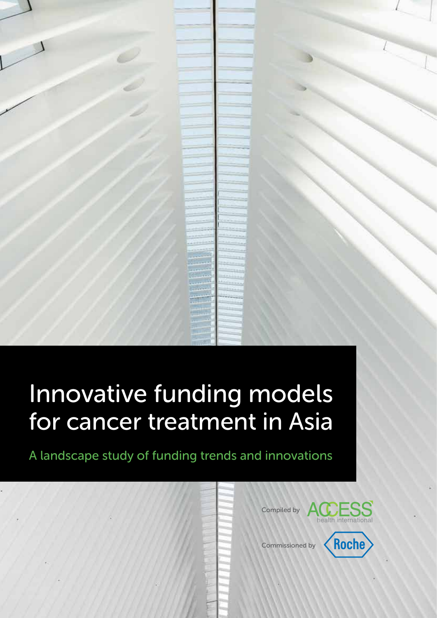# Innovative funding models for cancer treatment in Asia

A landscape study of funding trends and innovations





Roche

Commissioned by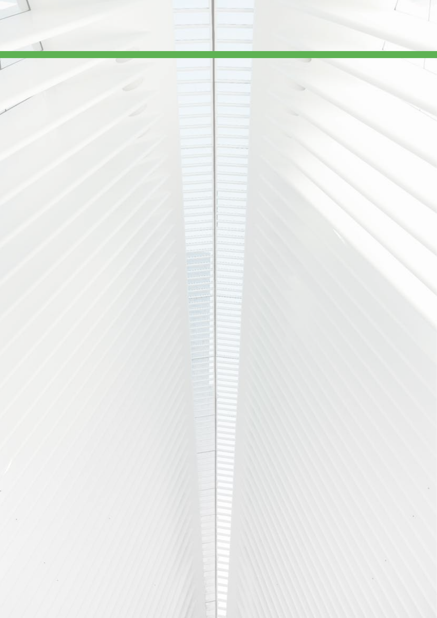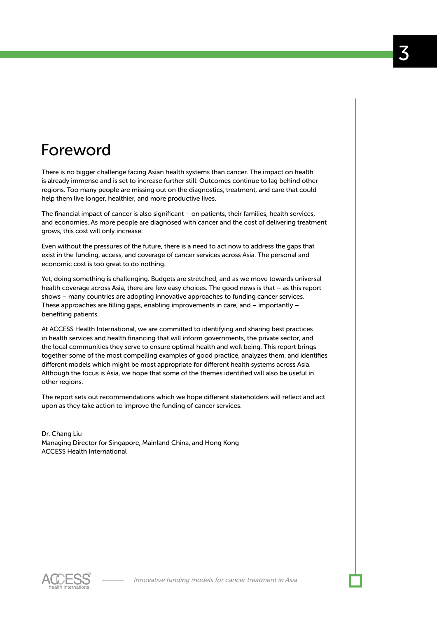## Foreword

There is no bigger challenge facing Asian health systems than cancer. The impact on health is already immense and is set to increase further still. Outcomes continue to lag behind other regions. Too many people are missing out on the diagnostics, treatment, and care that could help them live longer, healthier, and more productive lives.

The financial impact of cancer is also significant – on patients, their families, health services, and economies. As more people are diagnosed with cancer and the cost of delivering treatment grows, this cost will only increase.

Even without the pressures of the future, there is a need to act now to address the gaps that exist in the funding, access, and coverage of cancer services across Asia. The personal and economic cost is too great to do nothing.

Yet, doing something is challenging. Budgets are stretched, and as we move towards universal health coverage across Asia, there are few easy choices. The good news is that – as this report shows – many countries are adopting innovative approaches to funding cancer services. These approaches are filling gaps, enabling improvements in care, and – importantly – benefiting patients.

At ACCESS Health International, we are committed to identifying and sharing best practices in health services and health financing that will inform governments, the private sector, and the local communities they serve to ensure optimal health and well being. This report brings together some of the most compelling examples of good practice, analyzes them, and identifies different models which might be most appropriate for different health systems across Asia. Although the focus is Asia, we hope that some of the themes identified will also be useful in other regions.

The report sets out recommendations which we hope different stakeholders will reflect and act upon as they take action to improve the funding of cancer services.

Dr. Chang Liu Managing Director for Singapore, Mainland China, and Hong Kong ACCESS Health International

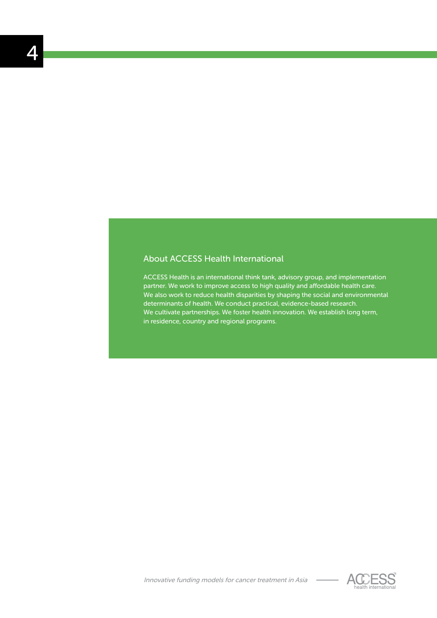4

#### About ACCESS Health International

ACCESS Health is an international think tank, advisory group, and implementation partner. We work to improve access to high quality and affordable health care. We also work to reduce health disparities by shaping the social and environmental determinants of health. We conduct practical, evidence-based research. We cultivate partnerships. We foster health innovation. We establish long term, in residence, country and regional programs.

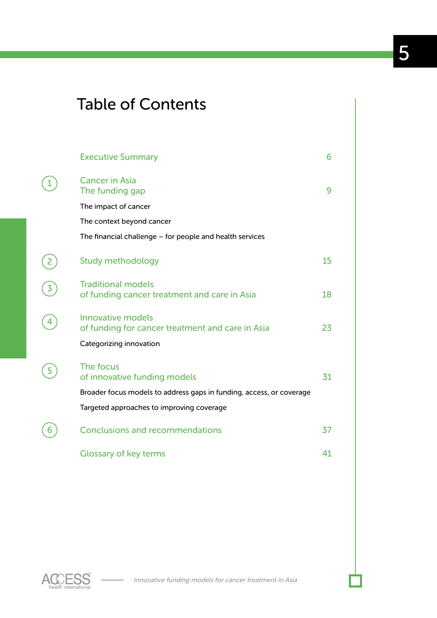# 5

# Table of Contents

|                | <b>Executive Summary</b>                                                     | 6  |
|----------------|------------------------------------------------------------------------------|----|
|                | <b>Cancer in Asia</b><br>The funding gap                                     | 9  |
|                | The impact of cancer                                                         |    |
|                | The context beyond cancer                                                    |    |
|                | The financial challenge - for people and health services                     |    |
| 2              | <b>Study methodology</b>                                                     | 15 |
| $\overline{3}$ | <b>Traditional models</b><br>of funding cancer treatment and care in Asia    | 18 |
|                | <b>Innovative models</b><br>of funding for cancer treatment and care in Asia | 23 |
|                | Categorizing innovation                                                      |    |
|                | The focus<br>of innovative funding models                                    | 31 |
|                | Broader focus models to address gaps in funding, access, or coverage         |    |
|                | Targeted approaches to improving coverage                                    |    |
|                | <b>Conclusions and recommendations</b>                                       | 37 |
|                | <b>Glossary of key terms</b>                                                 | 41 |

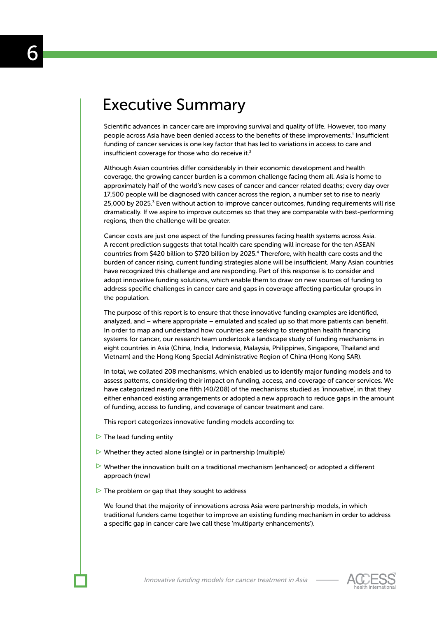### Executive Summary

Scientific advances in cancer care are improving survival and quality of life. However, too many people across Asia have been denied access to the benefits of these improvements.<sup>1</sup> Insufficient funding of cancer services is one key factor that has led to variations in access to care and insufficient coverage for those who do receive it.<sup>2</sup>

Although Asian countries differ considerably in their economic development and health coverage, the growing cancer burden is a common challenge facing them all. Asia is home to approximately half of the world's new cases of cancer and cancer related deaths; every day over 17,500 people will be diagnosed with cancer across the region, a number set to rise to nearly 25,000 by 2025.<sup>3</sup> Even without action to improve cancer outcomes, funding requirements will rise dramatically. If we aspire to improve outcomes so that they are comparable with best-performing regions, then the challenge will be greater.

Cancer costs are just one aspect of the funding pressures facing health systems across Asia. A recent prediction suggests that total health care spending will increase for the ten ASEAN countries from \$420 billion to \$720 billion by 2025.4 Therefore, with health care costs and the burden of cancer rising, current funding strategies alone will be insufficient. Many Asian countries have recognized this challenge and are responding. Part of this response is to consider and adopt innovative funding solutions, which enable them to draw on new sources of funding to address specific challenges in cancer care and gaps in coverage affecting particular groups in the population.

The purpose of this report is to ensure that these innovative funding examples are identified, analyzed, and – where appropriate – emulated and scaled up so that more patients can benefit. In order to map and understand how countries are seeking to strengthen health financing systems for cancer, our research team undertook a landscape study of funding mechanisms in eight countries in Asia (China, India, Indonesia, Malaysia, Philippines, Singapore, Thailand and Vietnam) and the Hong Kong Special Administrative Region of China (Hong Kong SAR).

In total, we collated 208 mechanisms, which enabled us to identify major funding models and to assess patterns, considering their impact on funding, access, and coverage of cancer services. We have categorized nearly one fifth (40/208) of the mechanisms studied as 'innovative', in that they either enhanced existing arrangements or adopted a new approach to reduce gaps in the amount of funding, access to funding, and coverage of cancer treatment and care.

This report categorizes innovative funding models according to:

- $\triangleright$  The lead funding entity
- $\triangleright$  Whether they acted alone (single) or in partnership (multiple)
- $\triangleright$  Whether the innovation built on a traditional mechanism (enhanced) or adopted a different approach (new)
- $\triangleright$  The problem or gap that they sought to address

We found that the majority of innovations across Asia were partnership models, in which traditional funders came together to improve an existing funding mechanism in order to address a specific gap in cancer care (we call these 'multiparty enhancements').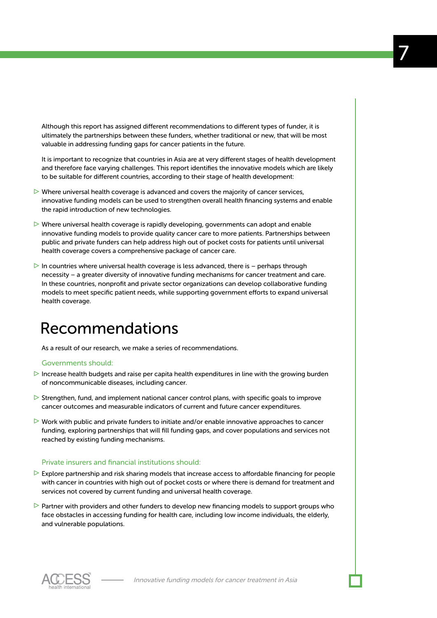Although this report has assigned different recommendations to different types of funder, it is ultimately the partnerships between these funders, whether traditional or new, that will be most valuable in addressing funding gaps for cancer patients in the future.

7

It is important to recognize that countries in Asia are at very different stages of health development and therefore face varying challenges. This report identifies the innovative models which are likely to be suitable for different countries, according to their stage of health development:

- $\triangleright$  Where universal health coverage is advanced and covers the majority of cancer services, innovative funding models can be used to strengthen overall health financing systems and enable the rapid introduction of new technologies.
- $\triangleright$  Where universal health coverage is rapidly developing, governments can adopt and enable innovative funding models to provide quality cancer care to more patients. Partnerships between public and private funders can help address high out of pocket costs for patients until universal health coverage covers a comprehensive package of cancer care.
- $\triangleright$  In countries where universal health coverage is less advanced, there is perhaps through necessity – a greater diversity of innovative funding mechanisms for cancer treatment and care. In these countries, nonprofit and private sector organizations can develop collaborative funding models to meet specific patient needs, while supporting government efforts to expand universal health coverage.

### Recommendations

As a result of our research, we make a series of recommendations.

#### Governments should:

- $\triangleright$  Increase health budgets and raise per capita health expenditures in line with the growing burden of noncommunicable diseases, including cancer.
- $\triangleright$  Strengthen, fund, and implement national cancer control plans, with specific goals to improve cancer outcomes and measurable indicators of current and future cancer expenditures.
- $\triangleright$  Work with public and private funders to initiate and/or enable innovative approaches to cancer funding, exploring partnerships that will fill funding gaps, and cover populations and services not reached by existing funding mechanisms.

#### Private insurers and financial institutions should:

- $\triangleright$  Explore partnership and risk sharing models that increase access to affordable financing for people with cancer in countries with high out of pocket costs or where there is demand for treatment and services not covered by current funding and universal health coverage.
- $\triangleright$  Partner with providers and other funders to develop new financing models to support groups who face obstacles in accessing funding for health care, including low income individuals, the elderly, and vulnerable populations.

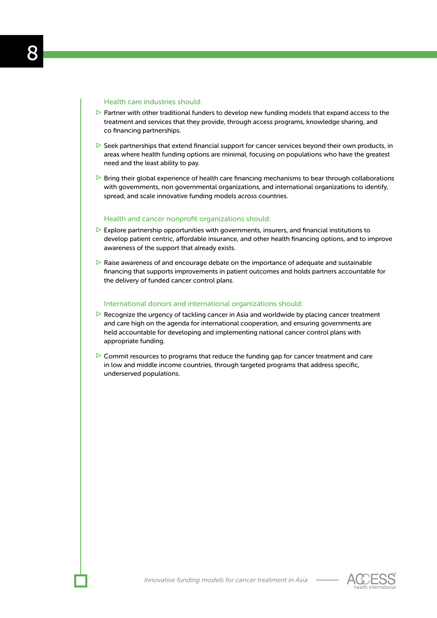#### Health care industries should:

- $\triangleright$  Partner with other traditional funders to develop new funding models that expand access to the treatment and services that they provide, through access programs, knowledge sharing, and co financing partnerships.
- $\triangleright$  Seek partnerships that extend financial support for cancer services beyond their own products, in areas where health funding options are minimal, focusing on populations who have the greatest need and the least ability to pay.
- $\triangleright$  Bring their global experience of health care financing mechanisms to bear through collaborations with governments, non governmental organizations, and international organizations to identify, spread, and scale innovative funding models across countries.

#### Health and cancer nonprofit organizations should:

- $\triangleright$  Explore partnership opportunities with governments, insurers, and financial institutions to develop patient centric, affordable insurance, and other health financing options, and to improve awareness of the support that already exists.
- $\triangleright$  Raise awareness of and encourage debate on the importance of adequate and sustainable financing that supports improvements in patient outcomes and holds partners accountable for the delivery of funded cancer control plans.

#### International donors and international organizations should:

- $\triangleright$  Recognize the urgency of tackling cancer in Asia and worldwide by placing cancer treatment and care high on the agenda for international cooperation, and ensuring governments are held accountable for developing and implementing national cancer control plans with appropriate funding.
- $\triangleright$  Commit resources to programs that reduce the funding gap for cancer treatment and care in low and middle income countries, through targeted programs that address specific, underserved populations.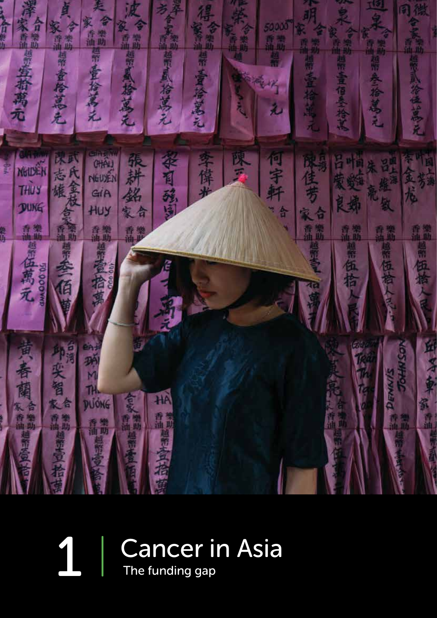

### Innovative funding models for cancer treatment in Asia Cancer in Asia The funding gap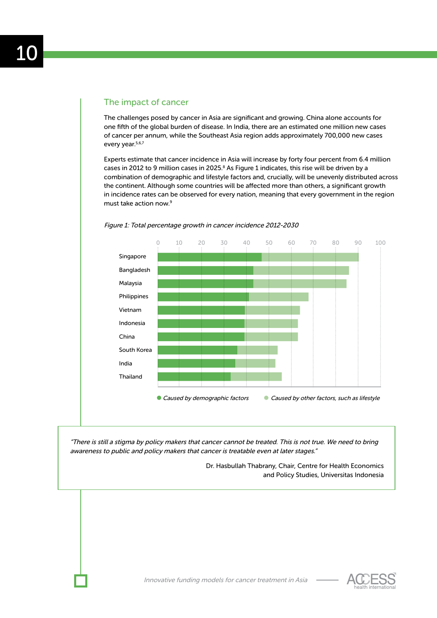#### The impact of cancer

The challenges posed by cancer in Asia are significant and growing. China alone accounts for one fifth of the global burden of disease. In India, there are an estimated one million new cases of cancer per annum, while the Southeast Asia region adds approximately 700,000 new cases every year.<sup>5,6,7</sup>

Experts estimate that cancer incidence in Asia will increase by forty four percent from 6.4 million cases in 2012 to 9 million cases in 2025.<sup>8</sup> As Figure 1 indicates, this rise will be driven by a combination of demographic and lifestyle factors and, crucially, will be unevenly distributed across the continent. Although some countries will be affected more than others, a significant growth in incidence rates can be observed for every nation, meaning that every government in the region must take action now.9



Figure 1: Total percentage growth in cancer incidence 2012-2030

"There is still a stigma by policy makers that cancer cannot be treated. This is not true. We need to bring awareness to public and policy makers that cancer is treatable even at later stages."

> Dr. Hasbullah Thabrany, Chair, Centre for Health Economics and Policy Studies, Universitas Indonesia

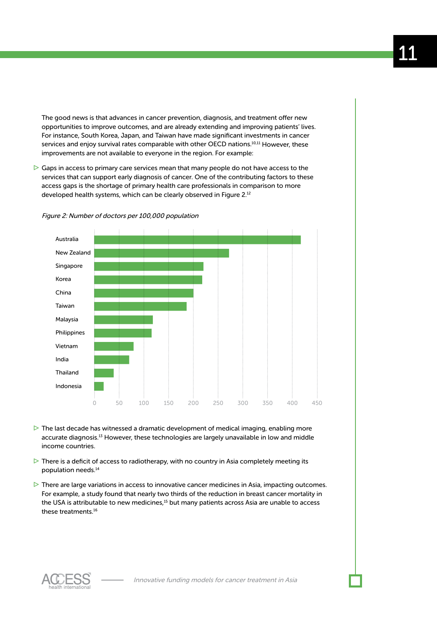11

The good news is that advances in cancer prevention, diagnosis, and treatment offer new opportunities to improve outcomes, and are already extending and improving patients' lives. For instance, South Korea, Japan, and Taiwan have made significant investments in cancer services and enjoy survival rates comparable with other OECD nations.<sup>10,11</sup> However, these improvements are not available to everyone in the region. For example:

 $\triangleright$  Gaps in access to primary care services mean that many people do not have access to the services that can support early diagnosis of cancer. One of the contributing factors to these access gaps is the shortage of primary health care professionals in comparison to more developed health systems, which can be clearly observed in Figure 2.12



Figure 2: Number of doctors per 100,000 population

- $\triangleright$  The last decade has witnessed a dramatic development of medical imaging, enabling more accurate diagnosis.13 However, these technologies are largely unavailable in low and middle income countries.
- $\triangleright$  There is a deficit of access to radiotherapy, with no country in Asia completely meeting its population needs.14
- $\triangleright$  There are large variations in access to innovative cancer medicines in Asia, impacting outcomes. For example, a study found that nearly two thirds of the reduction in breast cancer mortality in the USA is attributable to new medicines,<sup>15</sup> but many patients across Asia are unable to access these treatments.16

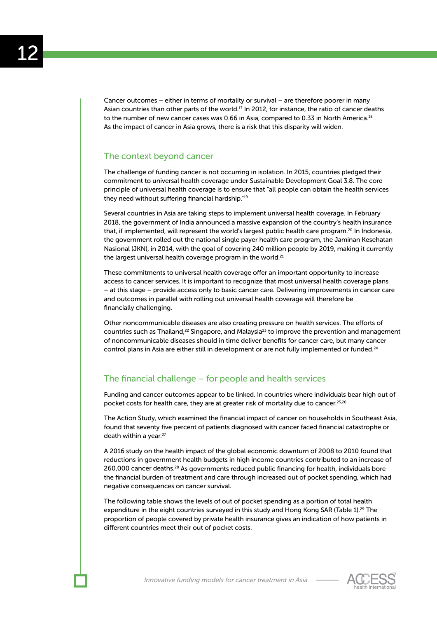Cancer outcomes – either in terms of mortality or survival – are therefore poorer in many Asian countries than other parts of the world.<sup>17</sup> In 2012, for instance, the ratio of cancer deaths to the number of new cancer cases was 0.66 in Asia, compared to 0.33 in North America.<sup>18</sup> As the impact of cancer in Asia grows, there is a risk that this disparity will widen.

#### The context beyond cancer

The challenge of funding cancer is not occurring in isolation. In 2015, countries pledged their commitment to universal health coverage under Sustainable Development Goal 3.8. The core principle of universal health coverage is to ensure that "all people can obtain the health services they need without suffering financial hardship."19

Several countries in Asia are taking steps to implement universal health coverage. In February 2018, the government of India announced a massive expansion of the country's health insurance that, if implemented, will represent the world's largest public health care program.<sup>20</sup> In Indonesia, the government rolled out the national single payer health care program, the Jaminan Kesehatan Nasional (JKN), in 2014, with the goal of covering 240 million people by 2019, making it currently the largest universal health coverage program in the world.<sup>21</sup>

These commitments to universal health coverage offer an important opportunity to increase access to cancer services. It is important to recognize that most universal health coverage plans – at this stage – provide access only to basic cancer care. Delivering improvements in cancer care and outcomes in parallel with rolling out universal health coverage will therefore be financially challenging.

Other noncommunicable diseases are also creating pressure on health services. The efforts of countries such as Thailand, $^{22}$  Singapore, and Malaysia<sup>23</sup> to improve the prevention and management of noncommunicable diseases should in time deliver benefits for cancer care, but many cancer control plans in Asia are either still in development or are not fully implemented or funded.<sup>24</sup>

#### The financial challenge – for people and health services

Funding and cancer outcomes appear to be linked. In countries where individuals bear high out of pocket costs for health care, they are at greater risk of mortality due to cancer.<sup>25,26</sup>

The Action Study, which examined the financial impact of cancer on households in Southeast Asia, found that seventy five percent of patients diagnosed with cancer faced financial catastrophe or death within a year.<sup>27</sup>

A 2016 study on the health impact of the global economic downturn of 2008 to 2010 found that reductions in government health budgets in high income countries contributed to an increase of 260,000 cancer deaths.28 As governments reduced public financing for health, individuals bore the financial burden of treatment and care through increased out of pocket spending, which had negative consequences on cancer survival.

The following table shows the levels of out of pocket spending as a portion of total health expenditure in the eight countries surveyed in this study and Hong Kong SAR (Table 1).<sup>29</sup> The proportion of people covered by private health insurance gives an indication of how patients in different countries meet their out of pocket costs.

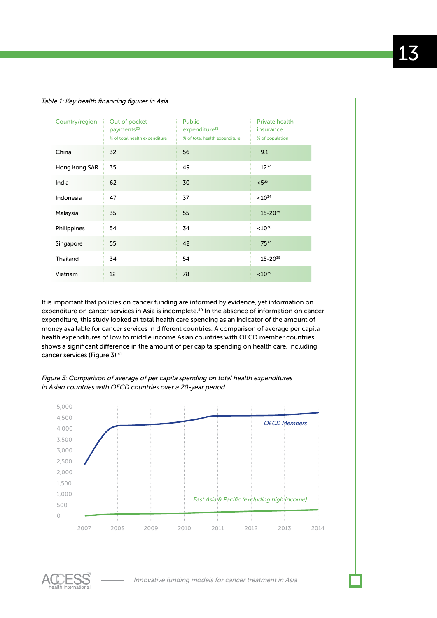| Country/region | Out of pocket<br>payments <sup>30</sup><br>% of total health expenditure | <b>Public</b><br>expenditure <sup>31</sup><br>% of total health expenditure | <b>Private health</b><br>insurance<br>% of population |
|----------------|--------------------------------------------------------------------------|-----------------------------------------------------------------------------|-------------------------------------------------------|
| China          | 32                                                                       | 56                                                                          | 9.1                                                   |
| Hong Kong SAR  | 35                                                                       | 49                                                                          | $12^{32}$                                             |
| India          | 62                                                                       | 30                                                                          | $< 5^{33}$                                            |
| Indonesia      | 47                                                                       | 37                                                                          | $< 10^{34}$                                           |
| Malaysia       | 35                                                                       | 55                                                                          | $15 - 20^{35}$                                        |
| Philippines    | 54                                                                       | 34                                                                          | $< 10^{36}$                                           |
| Singapore      | 55                                                                       | 42                                                                          | $75^{37}$                                             |
| Thailand       | 34                                                                       | 54                                                                          | $15 - 20^{38}$                                        |
| Vietnam        | 12                                                                       | 78                                                                          | $< 10^{39}$                                           |

#### Table 1: Key health financing figures in Asia

It is important that policies on cancer funding are informed by evidence, yet information on expenditure on cancer services in Asia is incomplete.<sup>40</sup> In the absence of information on cancer expenditure, this study looked at total health care spending as an indicator of the amount of money available for cancer services in different countries. A comparison of average per capita health expenditures of low to middle income Asian countries with OECD member countries shows a significant difference in the amount of per capita spending on health care, including cancer services (Figure 3).<sup>41</sup>





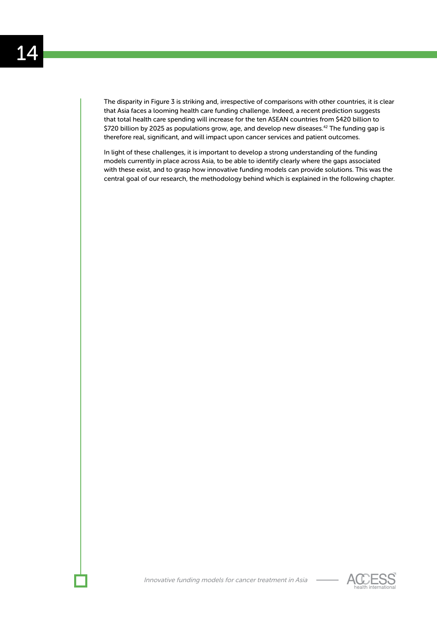The disparity in Figure 3 is striking and, irrespective of comparisons with other countries, it is clear that Asia faces a looming health care funding challenge. Indeed, a recent prediction suggests that total health care spending will increase for the ten ASEAN countries from \$420 billion to \$720 billion by 2025 as populations grow, age, and develop new diseases.<sup>42</sup> The funding gap is therefore real, significant, and will impact upon cancer services and patient outcomes.

In light of these challenges, it is important to develop a strong understanding of the funding models currently in place across Asia, to be able to identify clearly where the gaps associated with these exist, and to grasp how innovative funding models can provide solutions. This was the central goal of our research, the methodology behind which is explained in the following chapter.



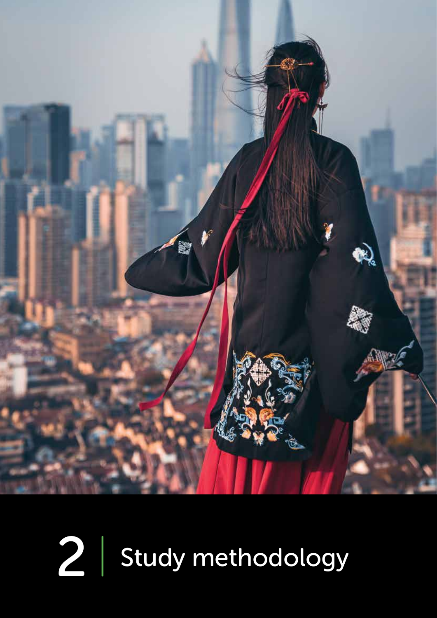

# 2 Study methodology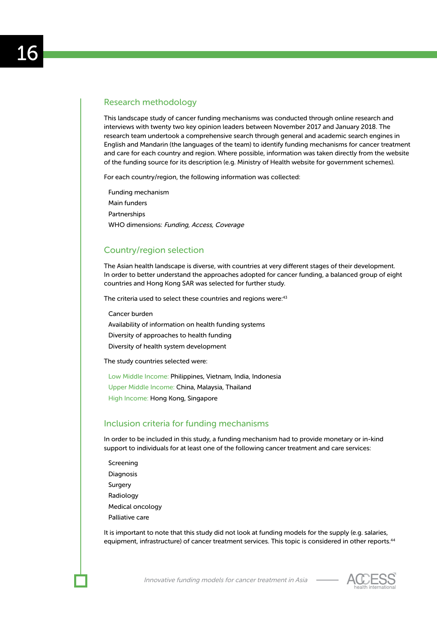#### Research methodology

This landscape study of cancer funding mechanisms was conducted through online research and interviews with twenty two key opinion leaders between November 2017 and January 2018. The research team undertook a comprehensive search through general and academic search engines in English and Mandarin (the languages of the team) to identify funding mechanisms for cancer treatment and care for each country and region. Where possible, information was taken directly from the website of the funding source for its description (e.g. Ministry of Health website for government schemes).

For each country/region, the following information was collected:

Funding mechanism Main funders Partnerships WHO dimensions: Funding, Access, Coverage

#### Country/region selection

The Asian health landscape is diverse, with countries at very different stages of their development. In order to better understand the approaches adopted for cancer funding, a balanced group of eight countries and Hong Kong SAR was selected for further study.

The criteria used to select these countries and regions were: 43

Cancer burden Availability of information on health funding systems Diversity of approaches to health funding

Diversity of health system development

The study countries selected were:

Low Middle Income: Philippines, Vietnam, India, Indonesia Upper Middle Income: China, Malaysia, Thailand High Income: Hong Kong, Singapore

#### Inclusion criteria for funding mechanisms

In order to be included in this study, a funding mechanism had to provide monetary or in-kind support to individuals for at least one of the following cancer treatment and care services:

Screening Diagnosis Surgery Radiology Medical oncology Palliative care

It is important to note that this study did not look at funding models for the supply (e.g. salaries, equipment, infrastructure) of cancer treatment services. This topic is considered in other reports.<sup>44</sup>

Innovative funding models for cancer treatment in Asia

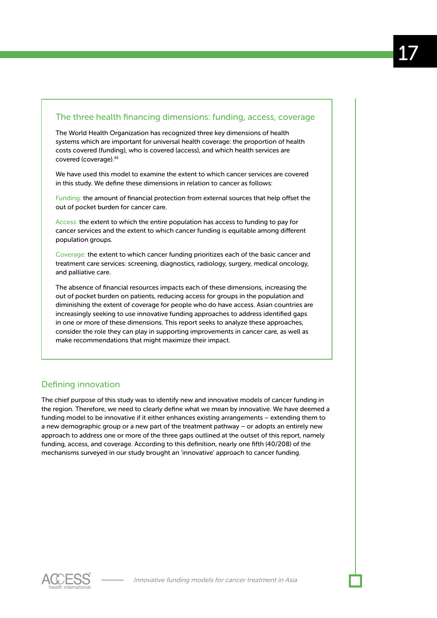#### The three health financing dimensions: funding, access, coverage

The World Health Organization has recognized three key dimensions of health systems which are important for universal health coverage: the proportion of health costs covered (funding), who is covered (access), and which health services are covered (coverage).45

We have used this model to examine the extent to which cancer services are covered in this study. We define these dimensions in relation to cancer as follows:

Funding: the amount of financial protection from external sources that help offset the out of pocket burden for cancer care.

Access: the extent to which the entire population has access to funding to pay for cancer services and the extent to which cancer funding is equitable among different population groups.

Coverage: the extent to which cancer funding prioritizes each of the basic cancer and treatment care services: screening, diagnostics, radiology, surgery, medical oncology, and palliative care.

The absence of financial resources impacts each of these dimensions, increasing the out of pocket burden on patients, reducing access for groups in the population and diminishing the extent of coverage for people who do have access. Asian countries are increasingly seeking to use innovative funding approaches to address identified gaps in one or more of these dimensions. This report seeks to analyze these approaches, consider the role they can play in supporting improvements in cancer care, as well as make recommendations that might maximize their impact.

#### Defining innovation

The chief purpose of this study was to identify new and innovative models of cancer funding in the region. Therefore, we need to clearly define what we mean by innovative. We have deemed a funding model to be innovative if it either enhances existing arrangements – extending them to a new demographic group or a new part of the treatment pathway – or adopts an entirely new approach to address one or more of the three gaps outlined at the outset of this report, namely funding, access, and coverage. According to this definition, nearly one fifth (40/208) of the mechanisms surveyed in our study brought an 'innovative' approach to cancer funding.

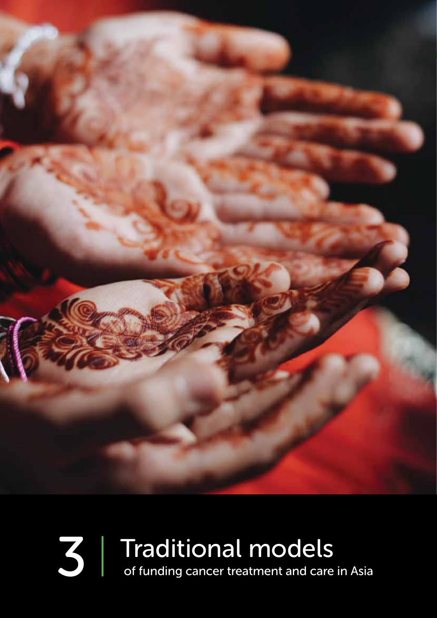

# 3 | Traditional models of funding cancer treatment and care in Asia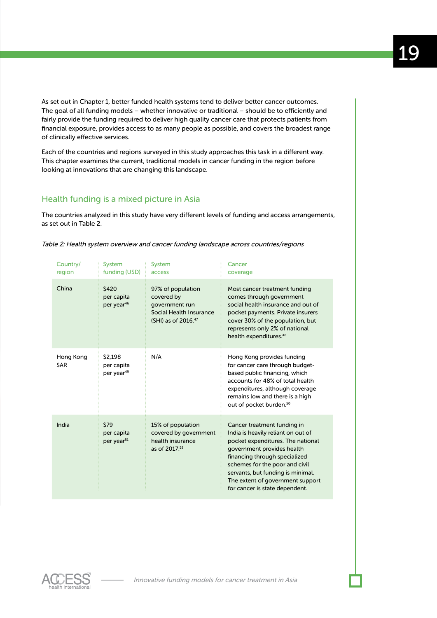As set out in Chapter 1, better funded health systems tend to deliver better cancer outcomes. The goal of all funding models – whether innovative or traditional – should be to efficiently and fairly provide the funding required to deliver high quality cancer care that protects patients from financial exposure, provides access to as many people as possible, and covers the broadest range of clinically effective services.

Each of the countries and regions surveyed in this study approaches this task in a different way. This chapter examines the current, traditional models in cancer funding in the region before looking at innovations that are changing this landscape.

#### Health funding is a mixed picture in Asia

The countries analyzed in this study have very different levels of funding and access arrangements, as set out in Table 2.

| Country/<br>region      | <b>System</b><br>funding (USD)                  | <b>System</b><br>access                                                                                | Cancer<br>coverage                                                                                                                                                                                                                                                                                                 |
|-------------------------|-------------------------------------------------|--------------------------------------------------------------------------------------------------------|--------------------------------------------------------------------------------------------------------------------------------------------------------------------------------------------------------------------------------------------------------------------------------------------------------------------|
| China                   | \$420<br>per capita<br>per year <sup>46</sup>   | 97% of population<br>covered by<br>government run<br>Social Health Insurance<br>(SHI) as of 2016. $47$ | Most cancer treatment funding<br>comes through government<br>social health insurance and out of<br>pocket payments. Private insurers<br>cover 30% of the population, but<br>represents only 2% of national<br>health expenditures. <sup>48</sup>                                                                   |
| Hong Kong<br><b>SAR</b> | \$2,198<br>per capita<br>per year <sup>49</sup> | N/A                                                                                                    | Hong Kong provides funding<br>for cancer care through budget-<br>based public financing, which<br>accounts for 48% of total health<br>expenditures, although coverage<br>remains low and there is a high<br>out of pocket burden. <sup>50</sup>                                                                    |
| India                   | \$79<br>per capita<br>per year <sup>51</sup>    | 15% of population<br>covered by government<br>health insurance<br>as of 2017.52                        | Cancer treatment funding in<br>India is heavily reliant on out of<br>pocket expenditures. The national<br>government provides health<br>financing through specialized<br>schemes for the poor and civil<br>servants, but funding is minimal.<br>The extent of government support<br>for cancer is state dependent. |

Table 2: Health system overview and cancer funding landscape across countries/regions

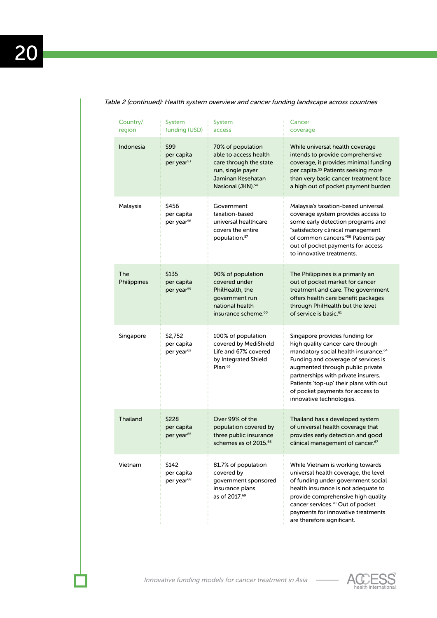| Country/<br>region        | System<br>funding (USD)                         | <b>System</b><br>access                                                                                                                         | Cancer<br>coverage                                                                                                                                                                                                                                                                                                                                 |
|---------------------------|-------------------------------------------------|-------------------------------------------------------------------------------------------------------------------------------------------------|----------------------------------------------------------------------------------------------------------------------------------------------------------------------------------------------------------------------------------------------------------------------------------------------------------------------------------------------------|
| Indonesia                 | \$99<br>per capita<br>per year <sup>53</sup>    | 70% of population<br>able to access health<br>care through the state<br>run, single payer<br>Jaminan Kesehatan<br>Nasional (JKN). <sup>54</sup> | While universal health coverage<br>intends to provide comprehensive<br>coverage, it provides minimal funding<br>per capita. <sup>55</sup> Patients seeking more<br>than very basic cancer treatment face<br>a high out of pocket payment burden.                                                                                                   |
| Malaysia                  | \$456<br>per capita<br>per year <sup>56</sup>   | Government<br>taxation-based<br>universal healthcare<br>covers the entire<br>population. <sup>57</sup>                                          | Malaysia's taxation-based universal<br>coverage system provides access to<br>some early detection programs and<br>"satisfactory clinical management<br>of common cancers." <sup>58</sup> Patients pay<br>out of pocket payments for access<br>to innovative treatments.                                                                            |
| <b>The</b><br>Philippines | \$135<br>per capita<br>per year <sup>59</sup>   | 90% of population<br>covered under<br>PhilHealth, the<br>government run<br>national health<br>insurance scheme. <sup>60</sup>                   | The Philippines is a primarily an<br>out of pocket market for cancer<br>treatment and care. The government<br>offers health care benefit packages<br>through PhilHealth but the level<br>of service is basic. <sup>61</sup>                                                                                                                        |
| Singapore                 | \$2,752<br>per capita<br>per year <sup>62</sup> | 100% of population<br>covered by MediShield<br>Life and 67% covered<br>by Integrated Shield<br>Plan. <sup>63</sup>                              | Singapore provides funding for<br>high quality cancer care through<br>mandatory social health insurance. <sup>64</sup><br>Funding and coverage of services is<br>augmented through public private<br>partnerships with private insurers.<br>Patients 'top-up' their plans with out<br>of pocket payments for access to<br>innovative technologies. |
| Thailand                  | \$228<br>per capita<br>per year <sup>65</sup>   | Over 99% of the<br>population covered by<br>three public insurance<br>schemes as of 2015.66                                                     | Thailand has a developed system<br>of universal health coverage that<br>provides early detection and good<br>clinical management of cancer. <sup>67</sup>                                                                                                                                                                                          |
| Vietnam                   | \$142<br>per capita<br>per year <sup>68</sup>   | 81.7% of population<br>covered by<br>government sponsored<br>insurance plans<br>as of 2017.69                                                   | While Vietnam is working towards<br>universal health coverage, the level<br>of funding under government social<br>health insurance is not adequate to<br>provide comprehensive high quality<br>cancer services. <sup>70</sup> Out of pocket<br>payments for innovative treatments<br>are therefore significant.                                    |

#### Table 2 (continued): Health system overview and cancer funding landscape across countries



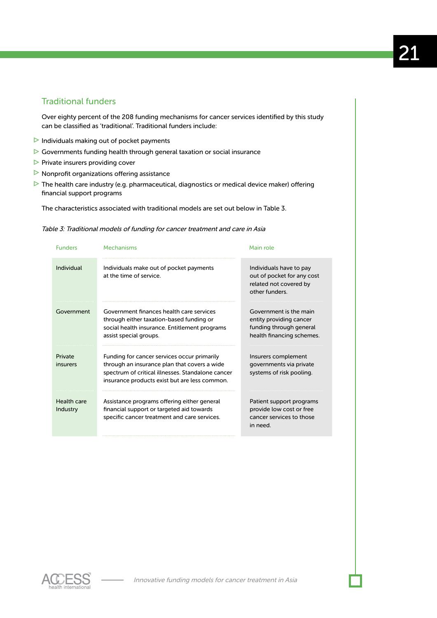#### Traditional funders

Over eighty percent of the 208 funding mechanisms for cancer services identified by this study can be classified as 'traditional'. Traditional funders include:

- $\triangleright$  Individuals making out of pocket payments
- $\triangleright$  Governments funding health through general taxation or social insurance
- $\triangleright$  Private insurers providing cover
- $\triangleright$  Nonprofit organizations offering assistance
- $\triangleright$  The health care industry (e.g. pharmaceutical, diagnostics or medical device maker) offering financial support programs

The characteristics associated with traditional models are set out below in Table 3.

#### Table 3: Traditional models of funding for cancer treatment and care in Asia

| <b>Funders</b>                 | Mechanisms                                                                                                                                                                                        | Main role                                                                                                 |
|--------------------------------|---------------------------------------------------------------------------------------------------------------------------------------------------------------------------------------------------|-----------------------------------------------------------------------------------------------------------|
| Individual                     | Individuals make out of pocket payments<br>at the time of service.                                                                                                                                | Individuals have to pay<br>out of pocket for any cost<br>related not covered by<br>other funders.         |
| Government                     | Government finances health care services<br>through either taxation-based funding or<br>social health insurance. Entitlement programs<br>assist special groups.                                   | Government is the main<br>entity providing cancer<br>funding through general<br>health financing schemes. |
| Private<br>insurers            | Funding for cancer services occur primarily<br>through an insurance plan that covers a wide<br>spectrum of critical illnesses. Standalone cancer<br>insurance products exist but are less common. | Insurers complement<br>governments via private<br>systems of risk pooling.                                |
| Health care<br><b>Industry</b> | Assistance programs offering either general<br>financial support or targeted aid towards<br>specific cancer treatment and care services.                                                          | Patient support programs<br>provide low cost or free<br>cancer services to those<br>in need.              |

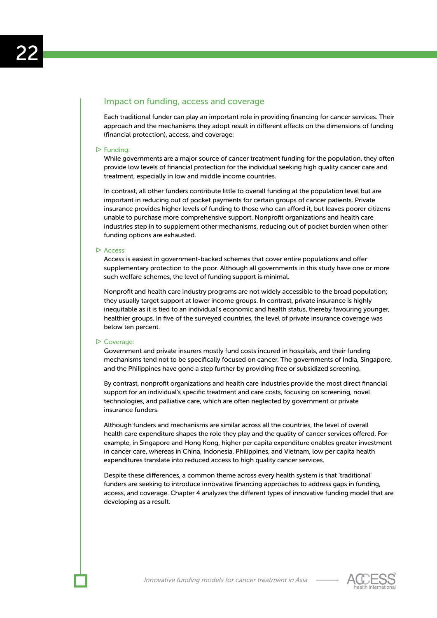#### Impact on funding, access and coverage

Each traditional funder can play an important role in providing financing for cancer services. Their approach and the mechanisms they adopt result in different effects on the dimensions of funding (financial protection), access, and coverage:

#### $\triangleright$  Funding:

While governments are a major source of cancer treatment funding for the population, they often provide low levels of financial protection for the individual seeking high quality cancer care and treatment, especially in low and middle income countries.

In contrast, all other funders contribute little to overall funding at the population level but are important in reducing out of pocket payments for certain groups of cancer patients. Private insurance provides higher levels of funding to those who can afford it, but leaves poorer citizens unable to purchase more comprehensive support. Nonprofit organizations and health care industries step in to supplement other mechanisms, reducing out of pocket burden when other funding options are exhausted.

#### Access: ᐅ

Access is easiest in government-backed schemes that cover entire populations and offer supplementary protection to the poor. Although all governments in this study have one or more such welfare schemes, the level of funding support is minimal.

Nonprofit and health care industry programs are not widely accessible to the broad population; they usually target support at lower income groups. In contrast, private insurance is highly inequitable as it is tied to an individual's economic and health status, thereby favouring younger, healthier groups. In five of the surveyed countries, the level of private insurance coverage was below ten percent.

#### ▷ Coverage:

Government and private insurers mostly fund costs incured in hospitals, and their funding mechanisms tend not to be specifically focused on cancer. The governments of India, Singapore, and the Philippines have gone a step further by providing free or subsidized screening.

By contrast, nonprofit organizations and health care industries provide the most direct financial support for an individual's specific treatment and care costs, focusing on screening, novel technologies, and palliative care, which are often neglected by government or private insurance funders.

Although funders and mechanisms are similar across all the countries, the level of overall health care expenditure shapes the role they play and the quality of cancer services offered. For example, in Singapore and Hong Kong, higher per capita expenditure enables greater investment in cancer care, whereas in China, Indonesia, Philippines, and Vietnam, low per capita health expenditures translate into reduced access to high quality cancer services.

Despite these differences, a common theme across every health system is that 'traditional' funders are seeking to introduce innovative financing approaches to address gaps in funding, access, and coverage. Chapter 4 analyzes the different types of innovative funding model that are developing as a result.

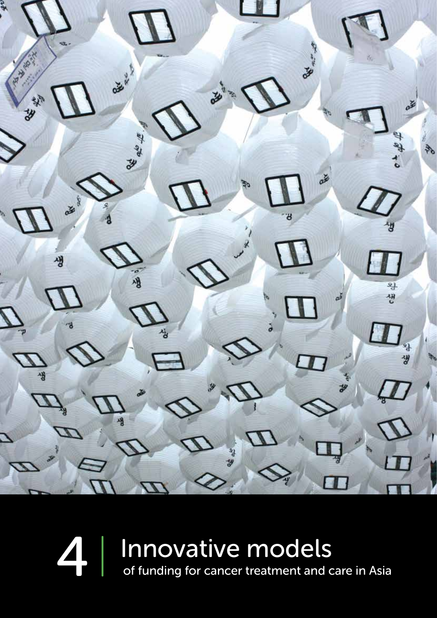

# 4 | Innovative models of funding for cancer treatment and care in Asia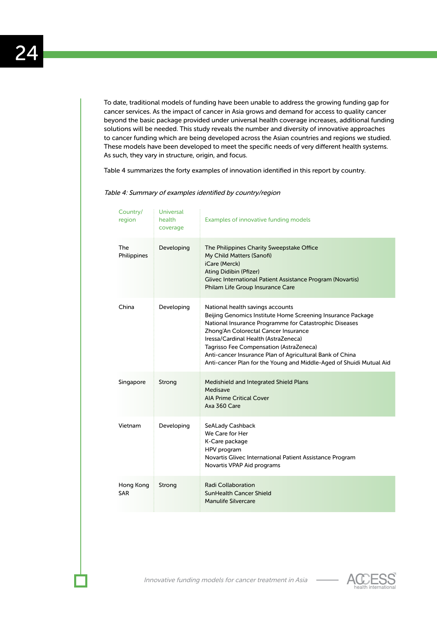To date, traditional models of funding have been unable to address the growing funding gap for cancer services. As the impact of cancer in Asia grows and demand for access to quality cancer beyond the basic package provided under universal health coverage increases, additional funding solutions will be needed. This study reveals the number and diversity of innovative approaches to cancer funding which are being developed across the Asian countries and regions we studied. These models have been developed to meet the specific needs of very different health systems. As such, they vary in structure, origin, and focus.

Table 4 summarizes the forty examples of innovation identified in this report by country.

| Country/<br>region      | <b>Universal</b><br>health<br>coverage | <b>Examples of innovative funding models</b>                                                                                                                                                                                                                                                                                                                                                                            |  |
|-------------------------|----------------------------------------|-------------------------------------------------------------------------------------------------------------------------------------------------------------------------------------------------------------------------------------------------------------------------------------------------------------------------------------------------------------------------------------------------------------------------|--|
| The<br>Philippines      | Developing                             | The Philippines Charity Sweepstake Office<br>My Child Matters (Sanofi)<br>iCare (Merck)<br>Ating Didibin (Pfizer)<br>Glivec International Patient Assistance Program (Novartis)<br>Philam Life Group Insurance Care                                                                                                                                                                                                     |  |
| China                   | Developing                             | National health savings accounts<br>Beijing Genomics Institute Home Screening Insurance Package<br>National Insurance Programme for Catastrophic Diseases<br>Zhong'An Colorectal Cancer Insurance<br>Iressa/Cardinal Health (AstraZeneca)<br>Tagrisso Fee Compensation (AstraZeneca)<br>Anti-cancer Insurance Plan of Agricultural Bank of China<br>Anti-cancer Plan for the Young and Middle-Aged of Shuidi Mutual Aid |  |
| Singapore               | Strong                                 | Medishield and Integrated Shield Plans<br>Medisave<br><b>AIA Prime Critical Cover</b><br>Axa 360 Care                                                                                                                                                                                                                                                                                                                   |  |
| Vietnam                 | Developing                             | SeALady Cashback<br>We Care for Her<br>K-Care package<br>HPV program<br>Novartis Glivec International Patient Assistance Program<br>Novartis VPAP Aid programs                                                                                                                                                                                                                                                          |  |
| Hong Kong<br><b>SAR</b> | Strong                                 | <b>Radi Collaboration</b><br><b>SunHealth Cancer Shield</b><br><b>Manulife Silvercare</b>                                                                                                                                                                                                                                                                                                                               |  |

#### Table 4: Summary of examples identified by country/region

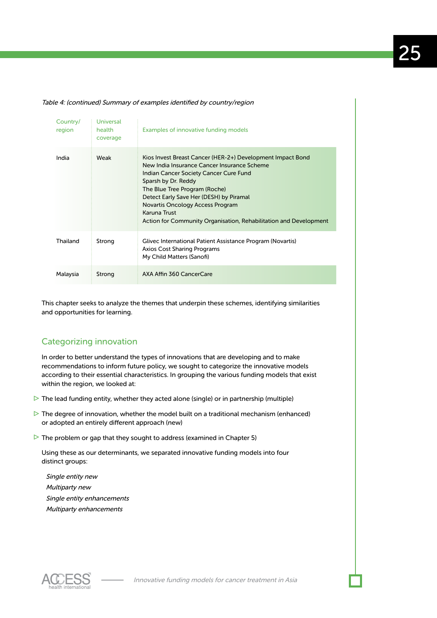25

#### Table 4: (continued) Summary of examples identified by country/region

| Country/<br>region | Universal<br>health<br>coverage | <b>Examples of innovative funding models</b>                                                                                                                                                                                                                                                                                                                                    |
|--------------------|---------------------------------|---------------------------------------------------------------------------------------------------------------------------------------------------------------------------------------------------------------------------------------------------------------------------------------------------------------------------------------------------------------------------------|
| India              | Weak                            | Kios Invest Breast Cancer (HER-2+) Development Impact Bond<br>New India Insurance Cancer Insurance Scheme<br>Indian Cancer Society Cancer Cure Fund<br>Sparsh by Dr. Reddy<br>The Blue Tree Program (Roche)<br>Detect Early Save Her (DESH) by Piramal<br>Novartis Oncology Access Program<br>Karuna Trust<br>Action for Community Organisation, Rehabilitation and Development |
| Thailand           | Strong                          | Glivec International Patient Assistance Program (Novartis)<br>Axios Cost Sharing Programs<br>My Child Matters (Sanofi)                                                                                                                                                                                                                                                          |
| Malaysia           | Strong                          | AXA Affin 360 CancerCare                                                                                                                                                                                                                                                                                                                                                        |

This chapter seeks to analyze the themes that underpin these schemes, identifying similarities and opportunities for learning.

#### Categorizing innovation

In order to better understand the types of innovations that are developing and to make recommendations to inform future policy, we sought to categorize the innovative models according to their essential characteristics. In grouping the various funding models that exist within the region, we looked at:

- $\triangleright$  The lead funding entity, whether they acted alone (single) or in partnership (multiple)
- $\triangleright$  The degree of innovation, whether the model built on a traditional mechanism (enhanced) or adopted an entirely different approach (new)
- $\triangleright$  The problem or gap that they sought to address (examined in Chapter 5)

Using these as our determinants, we separated innovative funding models into four distinct groups:

Single entity new Multiparty new Single entity enhancements Multiparty enhancements

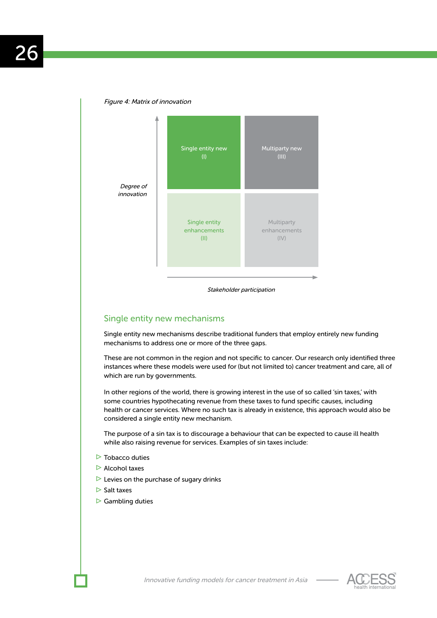

Figure 4: Matrix of innovation

Stakeholder participation

#### Single entity new mechanisms

Single entity new mechanisms describe traditional funders that employ entirely new funding mechanisms to address one or more of the three gaps.

These are not common in the region and not specific to cancer. Our research only identified three instances where these models were used for (but not limited to) cancer treatment and care, all of which are run by governments.

In other regions of the world, there is growing interest in the use of so called 'sin taxes,' with some countries hypothecating revenue from these taxes to fund specific causes, including health or cancer services. Where no such tax is already in existence, this approach would also be considered a single entity new mechanism.

The purpose of a sin tax is to discourage a behaviour that can be expected to cause ill health while also raising revenue for services. Examples of sin taxes include:

- $\triangleright$  Tobacco duties
- $\triangleright$  Alcohol taxes
- $\triangleright$  Levies on the purchase of sugary drinks
- $\triangleright$  Salt taxes
- $\triangleright$  Gambling duties

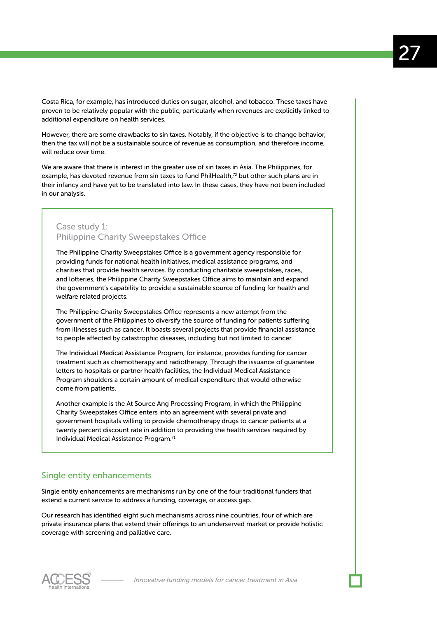Costa Rica, for example, has introduced duties on sugar, alcohol, and tobacco. These taxes have proven to be relatively popular with the public, particularly when revenues are explicitly linked to additional expenditure on health services.

However, there are some drawbacks to sin taxes. Notably, if the objective is to change behavior, then the tax will not be a sustainable source of revenue as consumption, and therefore income, will reduce over time.

We are aware that there is interest in the greater use of sin taxes in Asia. The Philippines, for example, has devoted revenue from sin taxes to fund PhilHealth,<sup>72</sup> but other such plans are in their infancy and have yet to be translated into law. In these cases, they have not been included in our analysis.

#### Case study 1: Philippine Charity Sweepstakes Office

The Philippine Charity Sweepstakes Office is a government agency responsible for providing funds for national health initiatives, medical assistance programs, and charities that provide health services. By conducting charitable sweepstakes, races, and lotteries, the Philippine Charity Sweepstakes Office aims to maintain and expand the government's capability to provide a sustainable source of funding for health and welfare related projects.

The Philippine Charity Sweepstakes Office represents a new attempt from the government of the Philippines to diversify the source of funding for patients suffering from illnesses such as cancer. It boasts several projects that provide financial assistance to people affected by catastrophic diseases, including but not limited to cancer.

The Individual Medical Assistance Program, for instance, provides funding for cancer treatment such as chemotherapy and radiotherapy. Through the issuance of guarantee letters to hospitals or partner health facilities, the Individual Medical Assistance Program shoulders a certain amount of medical expenditure that would otherwise come from patients.

Another example is the At Source Ang Processing Program, in which the Philippine Charity Sweepstakes Office enters into an agreement with several private and government hospitals willing to provide chemotherapy drugs to cancer patients at a twenty percent discount rate in addition to providing the health services required by Individual Medical Assistance Program.71

#### Single entity enhancements

Single entity enhancements are mechanisms run by one of the four traditional funders that extend a current service to address a funding, coverage, or access gap.

Our research has identified eight such mechanisms across nine countries, four of which are private insurance plans that extend their offerings to an underserved market or provide holistic coverage with screening and palliative care.

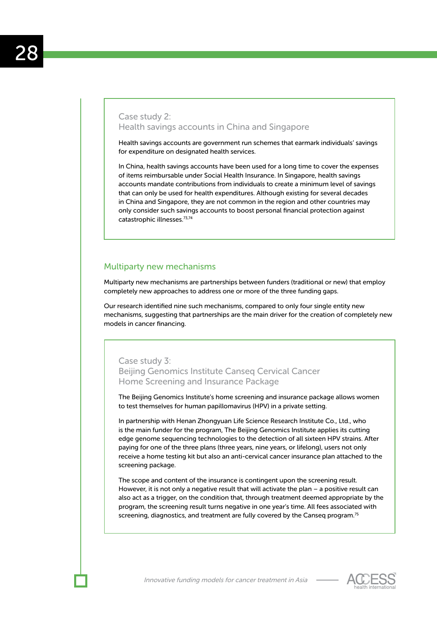#### Case study 2: Health savings accounts in China and Singapore

Health savings accounts are government run schemes that earmark individuals' savings for expenditure on designated health services.

In China, health savings accounts have been used for a long time to cover the expenses of items reimbursable under Social Health Insurance. In Singapore, health savings accounts mandate contributions from individuals to create a minimum level of savings that can only be used for health expenditures. Although existing for several decades in China and Singapore, they are not common in the region and other countries may only consider such savings accounts to boost personal financial protection against catastrophic illnesses.73,74

#### Multiparty new mechanisms

Multiparty new mechanisms are partnerships between funders (traditional or new) that employ completely new approaches to address one or more of the three funding gaps.

Our research identified nine such mechanisms, compared to only four single entity new mechanisms, suggesting that partnerships are the main driver for the creation of completely new models in cancer financing.

#### Case study 3: Beijing Genomics Institute Canseq Cervical Cancer Home Screening and Insurance Package

The Beijing Genomics Institute's home screening and insurance package allows women to test themselves for human papillomavirus (HPV) in a private setting.

In partnership with Henan Zhongyuan Life Science Research Institute Co., Ltd., who is the main funder for the program, The Beijing Genomics Institute applies its cutting edge genome sequencing technologies to the detection of all sixteen HPV strains. After paying for one of the three plans (three years, nine years, or lifelong), users not only receive a home testing kit but also an anti-cervical cancer insurance plan attached to the screening package.

The scope and content of the insurance is contingent upon the screening result. However, it is not only a negative result that will activate the plan – a positive result can also act as a trigger, on the condition that, through treatment deemed appropriate by the program, the screening result turns negative in one year's time. All fees associated with screening, diagnostics, and treatment are fully covered by the Canseq program.<sup>75</sup>

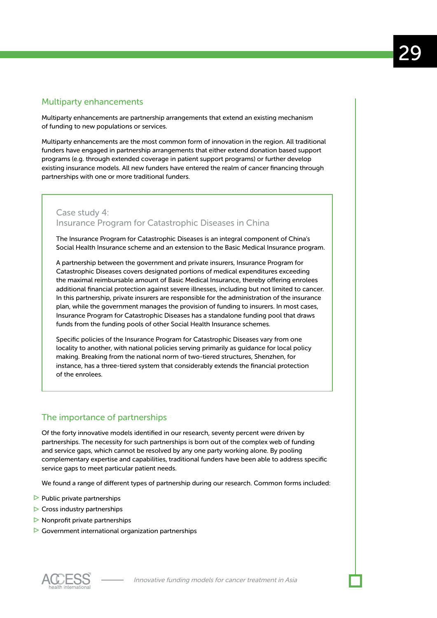#### Multiparty enhancements

Multiparty enhancements are partnership arrangements that extend an existing mechanism of funding to new populations or services.

Multiparty enhancements are the most common form of innovation in the region. All traditional funders have engaged in partnership arrangements that either extend donation based support programs (e.g. through extended coverage in patient support programs) or further develop existing insurance models. All new funders have entered the realm of cancer financing through partnerships with one or more traditional funders.

#### Case study 4: Insurance Program for Catastrophic Diseases in China

The Insurance Program for Catastrophic Diseases is an integral component of China's Social Health Insurance scheme and an extension to the Basic Medical Insurance program.

A partnership between the government and private insurers, Insurance Program for Catastrophic Diseases covers designated portions of medical expenditures exceeding the maximal reimbursable amount of Basic Medical Insurance, thereby offering enrolees additional financial protection against severe illnesses, including but not limited to cancer. In this partnership, private insurers are responsible for the administration of the insurance plan, while the government manages the provision of funding to insurers. In most cases, Insurance Program for Catastrophic Diseases has a standalone funding pool that draws funds from the funding pools of other Social Health Insurance schemes.

Specific policies of the Insurance Program for Catastrophic Diseases vary from one locality to another, with national policies serving primarily as guidance for local policy making. Breaking from the national norm of two-tiered structures, Shenzhen, for instance, has a three-tiered system that considerably extends the financial protection of the enrolees.

#### The importance of partnerships

Of the forty innovative models identified in our research, seventy percent were driven by partnerships. The necessity for such partnerships is born out of the complex web of funding and service gaps, which cannot be resolved by any one party working alone. By pooling complementary expertise and capabilities, traditional funders have been able to address specific service gaps to meet particular patient needs.

We found a range of different types of partnership during our research. Common forms included:

- $\triangleright$  Public private partnerships
- $\triangleright$  Cross industry partnerships
- $\triangleright$  Nonprofit private partnerships
- $\triangleright$  Government international organization partnerships

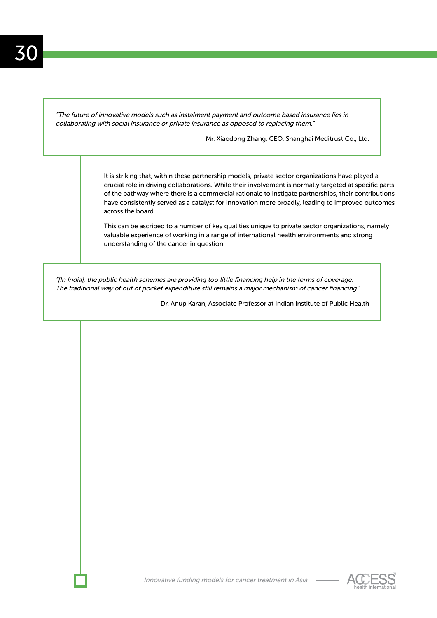"The future of innovative models such as instalment payment and outcome based insurance lies in collaborating with social insurance or private insurance as opposed to replacing them."

Mr. Xiaodong Zhang, CEO, Shanghai Meditrust Co., Ltd.

It is striking that, within these partnership models, private sector organizations have played a crucial role in driving collaborations. While their involvement is normally targeted at specific parts of the pathway where there is a commercial rationale to instigate partnerships, their contributions have consistently served as a catalyst for innovation more broadly, leading to improved outcomes across the board.

This can be ascribed to a number of key qualities unique to private sector organizations, namely valuable experience of working in a range of international health environments and strong understanding of the cancer in question.

"[In India], the public health schemes are providing too little financing help in the terms of coverage. The traditional way of out of pocket expenditure still remains a major mechanism of cancer financing."

Dr. Anup Karan, Associate Professor at Indian Institute of Public Health

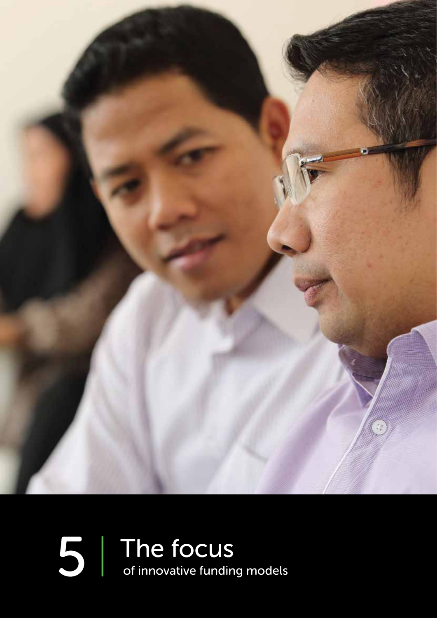

# 5 | The focus of innovative funding models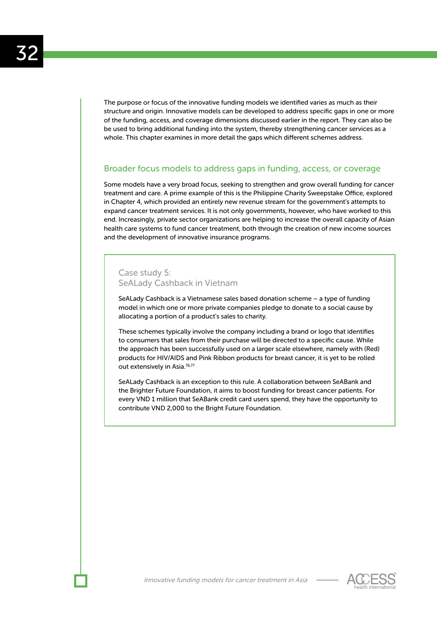The purpose or focus of the innovative funding models we identified varies as much as their structure and origin. Innovative models can be developed to address specific gaps in one or more of the funding, access, and coverage dimensions discussed earlier in the report. They can also be be used to bring additional funding into the system, thereby strengthening cancer services as a whole. This chapter examines in more detail the gaps which different schemes address.

#### Broader focus models to address gaps in funding, access, or coverage

Some models have a very broad focus, seeking to strengthen and grow overall funding for cancer treatment and care. A prime example of this is the Philippine Charity Sweepstake Office, explored in Chapter 4, which provided an entirely new revenue stream for the government's attempts to expand cancer treatment services. It is not only governments, however, who have worked to this end. Increasingly, private sector organizations are helping to increase the overall capacity of Asian health care systems to fund cancer treatment, both through the creation of new income sources and the development of innovative insurance programs.

#### Case study 5: SeALady Cashback in Vietnam

SeALady Cashback is a Vietnamese sales based donation scheme – a type of funding model in which one or more private companies pledge to donate to a social cause by allocating a portion of a product's sales to charity.

These schemes typically involve the company including a brand or logo that identifies to consumers that sales from their purchase will be directed to a specific cause. While the approach has been successfully used on a larger scale elsewhere, namely with (Red) products for HIV/AIDS and Pink Ribbon products for breast cancer, it is yet to be rolled out extensively in Asia.<sup>76,77</sup>

SeALady Cashback is an exception to this rule. A collaboration between SeABank and the Brighter Future Foundation, it aims to boost funding for breast cancer patients. For every VND 1 million that SeABank credit card users spend, they have the opportunity to contribute VND 2,000 to the Bright Future Foundation.

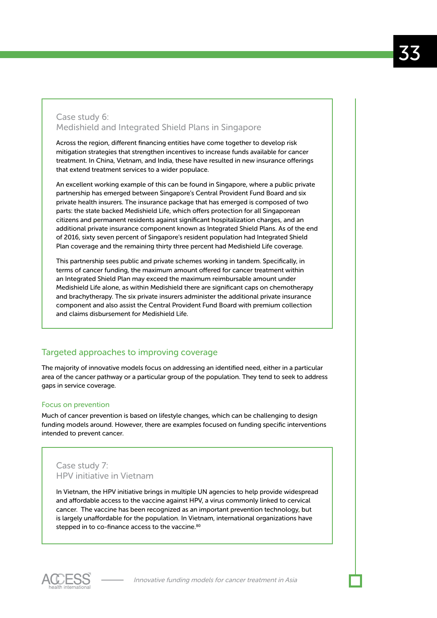#### Case study 6: Medishield and Integrated Shield Plans in Singapore

Across the region, different financing entities have come together to develop risk mitigation strategies that strengthen incentives to increase funds available for cancer treatment. In China, Vietnam, and India, these have resulted in new insurance offerings that extend treatment services to a wider populace.

An excellent working example of this can be found in Singapore, where a public private partnership has emerged between Singapore's Central Provident Fund Board and six private health insurers. The insurance package that has emerged is composed of two parts: the state backed Medishield Life, which offers protection for all Singaporean citizens and permanent residents against significant hospitalization charges, and an additional private insurance component known as Integrated Shield Plans. As of the end of 2016, sixty seven percent of Singapore's resident population had Integrated Shield Plan coverage and the remaining thirty three percent had Medishield Life coverage.

This partnership sees public and private schemes working in tandem. Specifically, in terms of cancer funding, the maximum amount offered for cancer treatment within an Integrated Shield Plan may exceed the maximum reimbursable amount under Medishield Life alone, as within Medishield there are significant caps on chemotherapy and brachytherapy. The six private insurers administer the additional private insurance component and also assist the Central Provident Fund Board with premium collection and claims disbursement for Medishield Life.

#### Targeted approaches to improving coverage

The majority of innovative models focus on addressing an identified need, either in a particular area of the cancer pathway or a particular group of the population. They tend to seek to address gaps in service coverage.

#### Focus on prevention

Much of cancer prevention is based on lifestyle changes, which can be challenging to design funding models around. However, there are examples focused on funding specific interventions intended to prevent cancer.

#### Case study 7: HPV initiative in Vietnam

In Vietnam, the HPV initiative brings in multiple UN agencies to help provide widespread and affordable access to the vaccine against HPV, a virus commonly linked to cervical cancer. The vaccine has been recognized as an important prevention technology, but is largely unaffordable for the population. In Vietnam, international organizations have stepped in to co-finance access to the vaccine.<sup>80</sup>

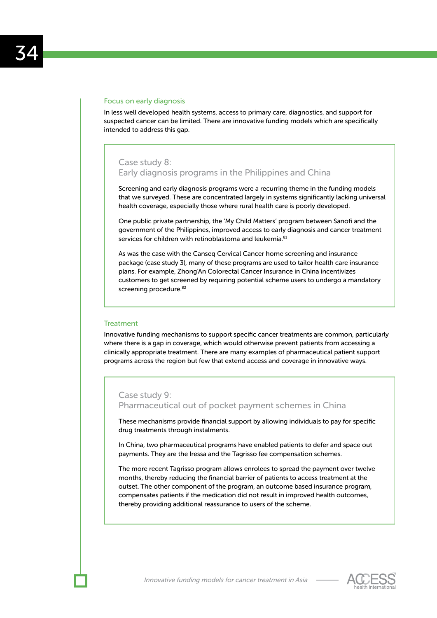#### Focus on early diagnosis

In less well developed health systems, access to primary care, diagnostics, and support for suspected cancer can be limited. There are innovative funding models which are specifically intended to address this gap.

#### Case study 8: Early diagnosis programs in the Philippines and China

Screening and early diagnosis programs were a recurring theme in the funding models that we surveyed. These are concentrated largely in systems significantly lacking universal health coverage, especially those where rural health care is poorly developed.

One public private partnership, the 'My Child Matters' program between Sanofi and the government of the Philippines, improved access to early diagnosis and cancer treatment services for children with retinoblastoma and leukemia.<sup>81</sup>

As was the case with the Canseq Cervical Cancer home screening and insurance package (case study 3), many of these programs are used to tailor health care insurance plans. For example, Zhong'An Colorectal Cancer Insurance in China incentivizes customers to get screened by requiring potential scheme users to undergo a mandatory screening procedure.<sup>82</sup>

#### **Treatment**

Innovative funding mechanisms to support specific cancer treatments are common, particularly where there is a gap in coverage, which would otherwise prevent patients from accessing a clinically appropriate treatment. There are many examples of pharmaceutical patient support programs across the region but few that extend access and coverage in innovative ways.

#### Case study 9: Pharmaceutical out of pocket payment schemes in China

These mechanisms provide financial support by allowing individuals to pay for specific drug treatments through instalments.

In China, two pharmaceutical programs have enabled patients to defer and space out payments. They are the Iressa and the Tagrisso fee compensation schemes.

The more recent Tagrisso program allows enrolees to spread the payment over twelve months, thereby reducing the financial barrier of patients to access treatment at the outset. The other component of the program, an outcome based insurance program, compensates patients if the medication did not result in improved health outcomes, thereby providing additional reassurance to users of the scheme.

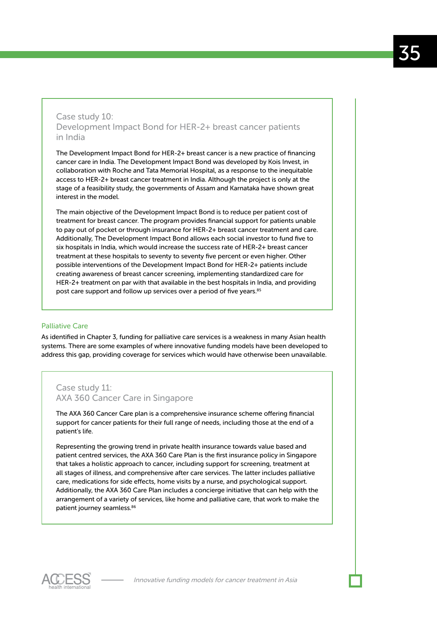#### Case study 10: Development Impact Bond for HER-2+ breast cancer patients in India

The Development Impact Bond for HER-2+ breast cancer is a new practice of financing cancer care in India. The Development Impact Bond was developed by Kois Invest, in collaboration with Roche and Tata Memorial Hospital, as a response to the inequitable access to HER-2+ breast cancer treatment in India. Although the project is only at the stage of a feasibility study, the governments of Assam and Karnataka have shown great interest in the model.

The main objective of the Development Impact Bond is to reduce per patient cost of treatment for breast cancer. The program provides financial support for patients unable to pay out of pocket or through insurance for HER-2+ breast cancer treatment and care. Additionally, The Development Impact Bond allows each social investor to fund five to six hospitals in India, which would increase the success rate of HER-2+ breast cancer treatment at these hospitals to seventy to seventy five percent or even higher. Other possible interventions of the Development Impact Bond for HER-2+ patients include creating awareness of breast cancer screening, implementing standardized care for HER-2+ treatment on par with that available in the best hospitals in India, and providing post care support and follow up services over a period of five years.<sup>85</sup>

#### Palliative Care

As identified in Chapter 3, funding for palliative care services is a weakness in many Asian health systems. There are some examples of where innovative funding models have been developed to address this gap, providing coverage for services which would have otherwise been unavailable.

#### Case study 11: AXA 360 Cancer Care in Singapore

The AXA 360 Cancer Care plan is a comprehensive insurance scheme offering financial support for cancer patients for their full range of needs, including those at the end of a patient's life.

Representing the growing trend in private health insurance towards value based and patient centred services, the AXA 360 Care Plan is the first insurance policy in Singapore that takes a holistic approach to cancer, including support for screening, treatment at all stages of illness, and comprehensive after care services. The latter includes palliative care, medications for side effects, home visits by a nurse, and psychological support. Additionally, the AXA 360 Care Plan includes a concierge initiative that can help with the arrangement of a variety of services, like home and palliative care, that work to make the patient journey seamless.<sup>86</sup>

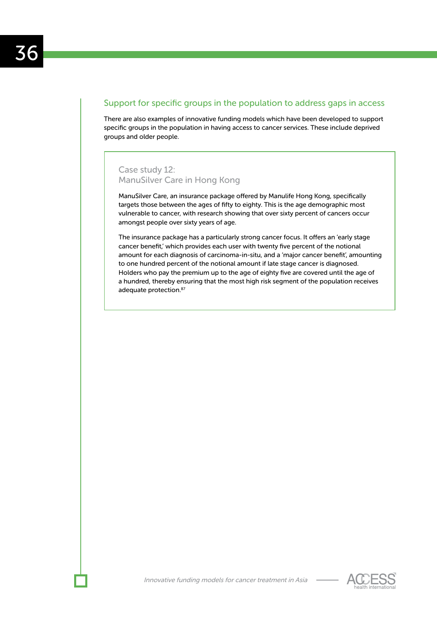#### Support for specific groups in the population to address gaps in access

There are also examples of innovative funding models which have been developed to support specific groups in the population in having access to cancer services. These include deprived groups and older people.

#### Case study 12: ManuSilver Care in Hong Kong

ManuSilver Care, an insurance package offered by Manulife Hong Kong, specifically targets those between the ages of fifty to eighty. This is the age demographic most vulnerable to cancer, with research showing that over sixty percent of cancers occur amongst people over sixty years of age.

The insurance package has a particularly strong cancer focus. It offers an 'early stage cancer benefit,' which provides each user with twenty five percent of the notional amount for each diagnosis of carcinoma-in-situ, and a 'major cancer benefit', amounting to one hundred percent of the notional amount if late stage cancer is diagnosed. Holders who pay the premium up to the age of eighty five are covered until the age of a hundred, thereby ensuring that the most high risk segment of the population receives adequate protection.87

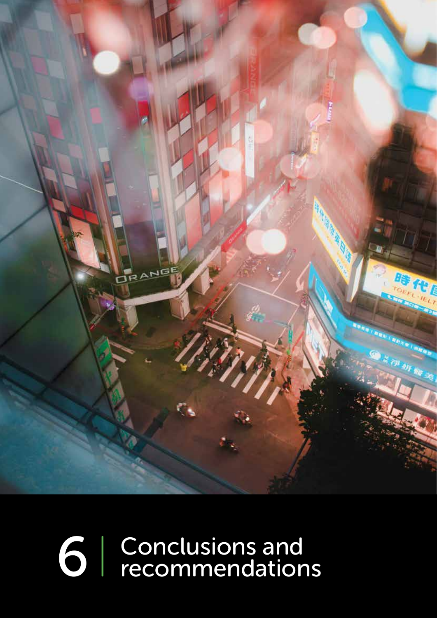

# | Conclusions and recommendations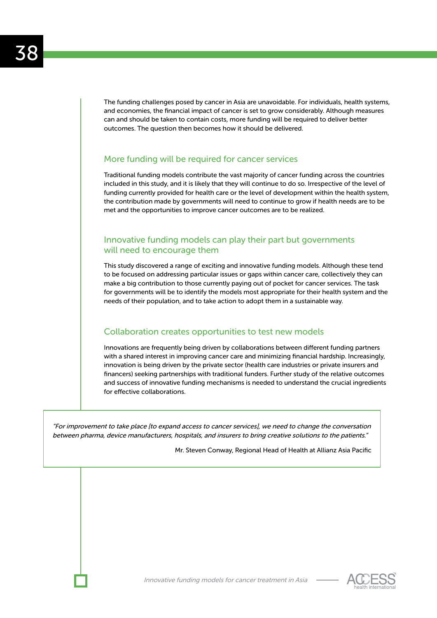The funding challenges posed by cancer in Asia are unavoidable. For individuals, health systems, and economies, the financial impact of cancer is set to grow considerably. Although measures can and should be taken to contain costs, more funding will be required to deliver better outcomes. The question then becomes how it should be delivered.

#### More funding will be required for cancer services

Traditional funding models contribute the vast majority of cancer funding across the countries included in this study, and it is likely that they will continue to do so. Irrespective of the level of funding currently provided for health care or the level of development within the health system, the contribution made by governments will need to continue to grow if health needs are to be met and the opportunities to improve cancer outcomes are to be realized.

#### Innovative funding models can play their part but governments will need to encourage them

This study discovered a range of exciting and innovative funding models. Although these tend to be focused on addressing particular issues or gaps within cancer care, collectively they can make a big contribution to those currently paying out of pocket for cancer services. The task for governments will be to identify the models most appropriate for their health system and the needs of their population, and to take action to adopt them in a sustainable way.

#### Collaboration creates opportunities to test new models

Innovations are frequently being driven by collaborations between different funding partners with a shared interest in improving cancer care and minimizing financial hardship. Increasingly, innovation is being driven by the private sector (health care industries or private insurers and financers) seeking partnerships with traditional funders. Further study of the relative outcomes and success of innovative funding mechanisms is needed to understand the crucial ingredients for effective collaborations.

"For improvement to take place [to expand access to cancer services], we need to change the conversation between pharma, device manufacturers, hospitals, and insurers to bring creative solutions to the patients."

Mr. Steven Conway, Regional Head of Health at Allianz Asia Pacific

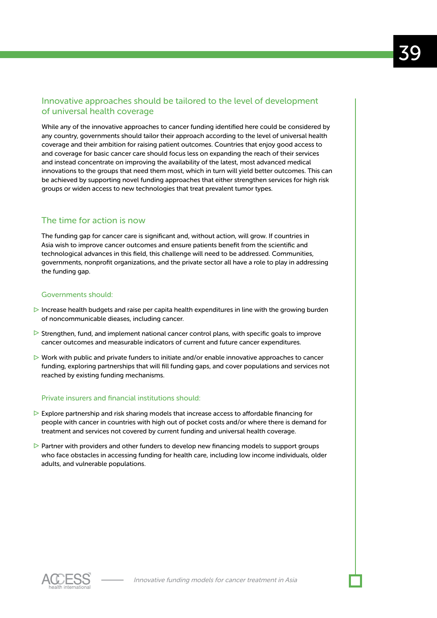#### Innovative approaches should be tailored to the level of development of universal health coverage

While any of the innovative approaches to cancer funding identified here could be considered by any country, governments should tailor their approach according to the level of universal health coverage and their ambition for raising patient outcomes. Countries that enjoy good access to and coverage for basic cancer care should focus less on expanding the reach of their services and instead concentrate on improving the availability of the latest, most advanced medical innovations to the groups that need them most, which in turn will yield better outcomes. This can be achieved by supporting novel funding approaches that either strengthen services for high risk groups or widen access to new technologies that treat prevalent tumor types.

#### The time for action is now

The funding gap for cancer care is significant and, without action, will grow. If countries in Asia wish to improve cancer outcomes and ensure patients benefit from the scientific and technological advances in this field, this challenge will need to be addressed. Communities, governments, nonprofit organizations, and the private sector all have a role to play in addressing the funding gap.

#### Governments should:

- $\triangleright$  Increase health budgets and raise per capita health expenditures in line with the growing burden of noncommunicable dieases, including cancer.
- $\triangleright$  Strengthen, fund, and implement national cancer control plans, with specific goals to improve cancer outcomes and measurable indicators of current and future cancer expenditures.
- $\triangleright$  Work with public and private funders to initiate and/or enable innovative approaches to cancer funding, exploring partnerships that will fill funding gaps, and cover populations and services not reached by existing funding mechanisms.

#### Private insurers and financial institutions should:

- $\triangleright$  Explore partnership and risk sharing models that increase access to affordable financing for people with cancer in countries with high out of pocket costs and/or where there is demand for treatment and services not covered by current funding and universal health coverage.
- $\triangleright$  Partner with providers and other funders to develop new financing models to support groups who face obstacles in accessing funding for health care, including low income individuals, older adults, and vulnerable populations.

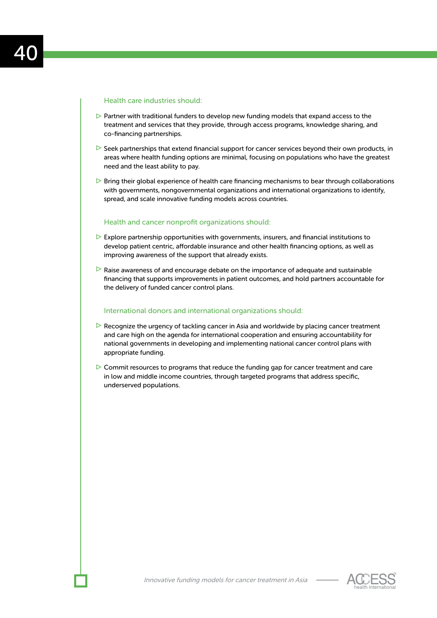#### Health care industries should:

- $\triangleright$  Partner with traditional funders to develop new funding models that expand access to the treatment and services that they provide, through access programs, knowledge sharing, and co-financing partnerships.
- $\triangleright$  Seek partnerships that extend financial support for cancer services beyond their own products, in areas where health funding options are minimal, focusing on populations who have the greatest need and the least ability to pay.
- $\triangleright$  Bring their global experience of health care financing mechanisms to bear through collaborations with governments, nongovernmental organizations and international organizations to identify, spread, and scale innovative funding models across countries.

#### Health and cancer nonprofit organizations should:

- $\triangleright$  Explore partnership opportunities with governments, insurers, and financial institutions to develop patient centric, affordable insurance and other health financing options, as well as improving awareness of the support that already exists.
- $\triangleright$  Raise awareness of and encourage debate on the importance of adequate and sustainable financing that supports improvements in patient outcomes, and hold partners accountable for the delivery of funded cancer control plans.

#### International donors and international organizations should:

- $\triangleright$  Recognize the urgency of tackling cancer in Asia and worldwide by placing cancer treatment and care high on the agenda for international cooperation and ensuring accountability for national governments in developing and implementing national cancer control plans with appropriate funding.
- $\triangleright$  Commit resources to programs that reduce the funding gap for cancer treatment and care in low and middle income countries, through targeted programs that address specific, underserved populations.

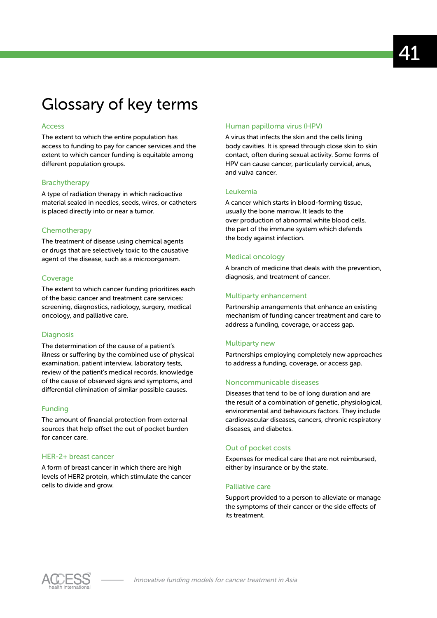#### Access

The extent to which the entire population has access to funding to pay for cancer services and the extent to which cancer funding is equitable among different population groups.

#### **Brachytherapy**

A type of radiation therapy in which radioactive material sealed in needles, seeds, wires, or catheters is placed directly into or near a tumor.

#### **Chemotherapy**

The treatment of disease using chemical agents or drugs that are selectively toxic to the causative agent of the disease, such as a microorganism.

#### **Coverage**

The extent to which cancer funding prioritizes each of the basic cancer and treatment care services: screening, diagnostics, radiology, surgery, medical oncology, and palliative care.

#### **Diagnosis**

The determination of the cause of a patient's illness or suffering by the combined use of physical examination, patient interview, laboratory tests, review of the patient's medical records, knowledge of the cause of observed signs and symptoms, and differential elimination of similar possible causes.

#### Funding

The amount of financial protection from external sources that help offset the out of pocket burden for cancer care.

#### HER-2+ breast cancer

A form of breast cancer in which there are high levels of HER2 protein, which stimulate the cancer cells to divide and grow.

#### Human papilloma virus (HPV)

A virus that infects the skin and the cells lining body cavities. It is spread through close skin to skin contact, often during sexual activity. Some forms of HPV can cause cancer, particularly cervical, anus, and vulva cancer.

#### Leukemia

A cancer which starts in blood-forming tissue, usually the bone marrow. It leads to the over production of abnormal white blood cells, the part of the immune system which defends the body against infection.

#### Medical oncology

A branch of medicine that deals with the prevention, diagnosis, and treatment of cancer.

#### Multiparty enhancement

Partnership arrangements that enhance an existing mechanism of funding cancer treatment and care to address a funding, coverage, or access gap.

#### Multiparty new

Partnerships employing completely new approaches to address a funding, coverage, or access gap.

#### Noncommunicable diseases

Diseases that tend to be of long duration and are the result of a combination of genetic, physiological, environmental and behaviours factors. They include cardiovascular diseases, cancers, chronic respiratory diseases, and diabetes.

#### Out of pocket costs

Expenses for medical care that are not reimbursed, either by insurance or by the state.

#### Palliative care

Support provided to a person to alleviate or manage the symptoms of their cancer or the side effects of its treatment.

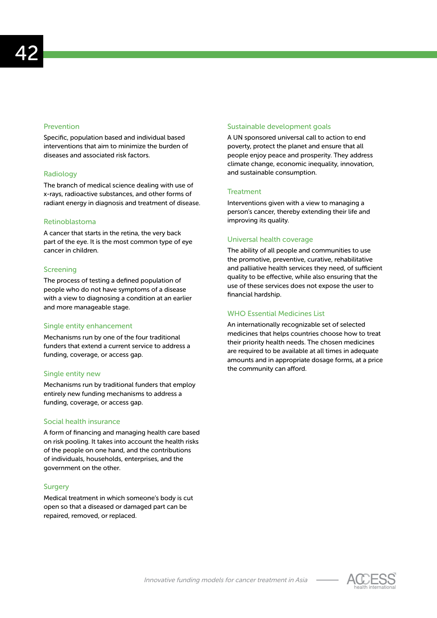#### Prevention

Specific, population based and individual based interventions that aim to minimize the burden of diseases and associated risk factors.

#### Radiology

The branch of medical science dealing with use of x-rays, radioactive substances, and other forms of radiant energy in diagnosis and treatment of disease.

#### Retinoblastoma

A cancer that starts in the retina, the very back part of the eye. It is the most common type of eye cancer in children.

#### Screening

The process of testing a defined population of people who do not have symptoms of a disease with a view to diagnosing a condition at an earlier and more manageable stage.

#### Single entity enhancement

Mechanisms run by one of the four traditional funders that extend a current service to address a funding, coverage, or access gap.

#### Single entity new

Mechanisms run by traditional funders that employ entirely new funding mechanisms to address a funding, coverage, or access gap.

#### Social health insurance

A form of financing and managing health care based on risk pooling. It takes into account the health risks of the people on one hand, and the contributions of individuals, households, enterprises, and the government on the other.

#### **Surgery**

Medical treatment in which someone's body is cut open so that a diseased or damaged part can be repaired, removed, or replaced.

#### Sustainable development goals

A UN sponsored universal call to action to end poverty, protect the planet and ensure that all people enjoy peace and prosperity. They address climate change, economic inequality, innovation, and sustainable consumption.

#### **Treatment**

Interventions given with a view to managing a person's cancer, thereby extending their life and improving its quality.

#### Universal health coverage

The ability of all people and communities to use the promotive, preventive, curative, rehabilitative and palliative health services they need, of sufficient quality to be effective, while also ensuring that the use of these services does not expose the user to financial hardship.

#### WHO Essential Medicines List

An internationally recognizable set of selected medicines that helps countries choose how to treat their priority health needs. The chosen medicines are required to be available at all times in adequate amounts and in appropriate dosage forms, at a price the community can afford.

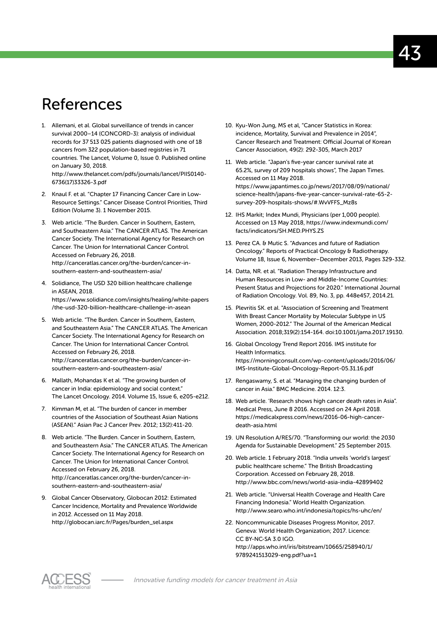## References

- 1. Allemani, et al. Global surveillance of trends in cancer survival 2000–14 (CONCORD-3): analysis of individual records for 37 513 025 patients diagnosed with one of 18 cancers from 322 population-based registries in 71 countries. The Lancet, Volume 0, Issue 0. Published online on January 30, 2018. http://www.thelancet.com/pdfs/journals/lancet/PIIS0140- 6736(17)33326-3.pdf
- 2. Knaul F. et al. "Chapter 17 Financing Cancer Care in Low-Resource Settings." Cancer Disease Control Priorities, Third Edition (Volume 3). 1 November 2015.
- 3. Web article. "The Burden. Cancer in Southern, Eastern, and Southeastern Asia." The CANCER ATLAS. The American Cancer Society. The International Agency for Research on Cancer. The Union for International Cancer Control. Accessed on February 26, 2018. http://canceratlas.cancer.org/the-burden/cancer-insouthern-eastern-and-southeastern-asia/
- 4. Solidiance, The USD 320 billion healthcare challenge in ASEAN, 2018. https://www.solidiance.com/insights/healing/white-papers /the-usd-320-billion-healthcare-challenge-in-asean
- 5. Web article. "The Burden. Cancer in Southern, Eastern, and Southeastern Asia." The CANCER ATLAS. The American Cancer Society. The International Agency for Research on Cancer. The Union for International Cancer Control. Accessed on February 26, 2018. http://canceratlas.cancer.org/the-burden/cancer-insouthern-eastern-and-southeastern-asia/
- 6. Mallath, Mohandas K et al. "The growing burden of cancer in India: epidemiology and social context." The Lancet Oncology. 2014. Volume 15, Issue 6, e205-e212.
- 7. Kimman M, et al. "The burden of cancer in member countries of the Association of Southeast Asian Nations (ASEAN)." Asian Pac J Cancer Prev. 2012; 13(2):411-20.
- 8. Web article. "The Burden. Cancer in Southern, Eastern, and Southeastern Asia." The CANCER ATLAS. The American Cancer Society. The International Agency for Research on Cancer. The Union for International Cancer Control. Accessed on February 26, 2018. http://canceratlas.cancer.org/the-burden/cancer-insouthern-eastern-and-southeastern-asia/
- 9. Global Cancer Observatory, Globocan 2012: Estimated Cancer Incidence, Mortality and Prevalence Worldwide in 2012. Accessed on 11 May 2018. http://globocan.iarc.fr/Pages/burden\_sel.aspx
- 10. Kyu-Won Jung, MS et al, "Cancer Statistics in Korea: incidence, Mortality, Survival and Prevalence in 2014", Cancer Research and Treatment: Official Journal of Korean Cancer Association, 49(2): 292-305, March 2017
- 11. Web article. "Japan's five-year cancer survival rate at 65.2%, survey of 209 hospitals shows", The Japan Times. Accessed on 11 May 2018. https://www.japantimes.co.jp/news/2017/08/09/national/ science-health/japans-five-year-cancer-survival-rate-65-2 survey-209-hospitals-shows/#.WvVFFS\_Mz8s
- 12. IHS Markit; Index Mundi, Physicians (per 1,000 people). Accessed on 13 May 2018, https://www.indexmundi.com/ facts/indicators/SH.MED.PHYS.ZS
- 13. Perez CA. & Mutic S. "Advances and future of Radiation Oncology." Reports of Practical Oncology & Radiotherapy. Volume 18, Issue 6, November–December 2013, Pages 329-332.
- 14. Datta, NR. et al. "Radiation Therapy Infrastructure and Human Resources in Low- and Middle-Income Countries: Present Status and Projections for 2020." International Journal of Radiation Oncology. Vol. 89, No. 3, pp. 448e457, 2014.21.
- 15. Plevritis SK. et al. "Association of Screening and Treatment With Breast Cancer Mortality by Molecular Subtype in US Women, 2000-2012." The Journal of the American Medical Association. 2018;319(2):154-164. doi:10.1001/jama.2017.19130.
- 16. Global Oncology Trend Report 2016. IMS institute for Health Informatics. https://morningconsult.com/wp-content/uploads/2016/06/ IMS-Institute-Global-Oncology-Report-05.31.16.pdf
- 17. Rengaswamy, S. et al. "Managing the changing burden of cancer in Asia." BMC Medicine. 2014. 12:3.
- 18. Web article. 'Research shows high cancer death rates in Asia". Medical Press, June 8 2016. Accessed on 24 April 2018. https://medicalxpress.com/news/2016-06-high-cancerdeath-asia.html
- 19. UN Resolution A/RES/70. "Transforming our world: the 2030 Agenda for Sustainable Development." 25 September 2015.
- 20. Web article. 1 February 2018. "India unveils 'world's largest' public healthcare scheme." The British Broadcasting Corporation. Accessed on February 28, 2018. http://www.bbc.com/news/world-asia-india-42899402
- 21. Web article. "Universal Health Coverage and Health Care Financing Indonesia." World Health Organization. http://www.searo.who.int/indonesia/topics/hs-uhc/en/
- 22. Noncommunicable Diseases Progress Monitor, 2017. Geneva: World Health Organization; 2017. Licence: CC BY-NC-SA 3.0 IGO. http://apps.who.int/iris/bitstream/10665/258940/1/ 9789241513029-eng.pdf?ua=1

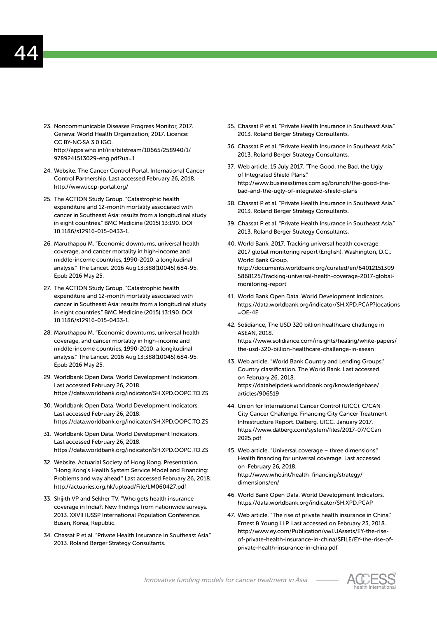- 23. Noncommunicable Diseases Progress Monitor, 2017. Geneva: World Health Organization; 2017. Licence: CC BY-NC-SA 3.0 IGO. http://apps.who.int/iris/bitstream/10665/258940/1/ 9789241513029-eng.pdf?ua=1
- 24. Website. The Cancer Control Portal. International Cancer Control Partnership. Last accessed February 26, 2018. http://www.iccp-portal.org/
- 25. The ACTION Study Group. "Catastrophic health expenditure and 12-month mortality associated with cancer in Southeast Asia: results from a longitudinal study in eight countries." BMC Medicine (2015) 13:190. DOI 10.1186/s12916-015-0433-1.
- 26. Maruthappu M. "Economic downturns, universal health coverage, and cancer mortality in high-income and middle-income countries, 1990-2010: a longitudinal analysis." The Lancet. 2016 Aug 13;388(10045):684-95. Epub 2016 May 25.
- 27. The ACTION Study Group. "Catastrophic health expenditure and 12-month mortality associated with cancer in Southeast Asia: results from a longitudinal study in eight countries." BMC Medicine (2015) 13:190. DOI 10.1186/s12916-015-0433-1.
- 28. Maruthappu M. "Economic downturns, universal health coverage, and cancer mortality in high-income and middle-income countries, 1990-2010: a longitudinal analysis." The Lancet. 2016 Aug 13;388(10045):684-95. Epub 2016 May 25.
- 29. Worldbank Open Data. World Development Indicators. Last accessed February 26, 2018. https://data.worldbank.org/indicator/SH.XPD.OOPC.TO.ZS
- 30. Worldbank Open Data. World Development Indicators. Last accessed February 26, 2018. https://data.worldbank.org/indicator/SH.XPD.OOPC.TO.ZS
- 31. Worldbank Open Data. World Development Indicators. Last accessed February 26, 2018. https://data.worldbank.org/indicator/SH.XPD.OOPC.TO.ZS
- 32. Website. Actuarial Society of Hong Kong. Presentation. "Hong Kong's Health System Service Model and Financing: Problems and way ahead." Last accessed February 26, 2018. http://actuaries.org.hk/upload/File/LM060427.pdf
- 33. Shijith VP and Sekher TV. "Who gets health insurance coverage in India?: New findings from nationwide surveys. 2013. XXVII IUSSP International Population Conference. Busan, Korea, Republic.
- 34. Chassat P et al. "Private Health Insurance in Southeast Asia." 2013. Roland Berger Strategy Consultants.
- 35. Chassat P et al. "Private Health Insurance in Southeast Asia." 2013. Roland Berger Strategy Consultants.
- 36. Chassat P et al. "Private Health Insurance in Southeast Asia." 2013. Roland Berger Strategy Consultants.
- 37. Web article. 15 July 2017. "The Good, the Bad, the Ugly of Integrated Shield Plans." http://www.businesstimes.com.sg/brunch/the-good-thebad-and-the-ugly-of-integrated-shield-plans
- 38. Chassat P et al. "Private Health Insurance in Southeast Asia." 2013. Roland Berger Strategy Consultants.
- 39. Chassat P et al. "Private Health Insurance in Southeast Asia." 2013. Roland Berger Strategy Consultants.
- 40. World Bank. 2017. Tracking universal health coverage: 2017 global monitoring report (English). Washington, D.C.: World Bank Group. http://documents.worldbank.org/curated/en/64012151309 5868125/Tracking-universal-health-coverage-2017-globalmonitoring-report
- 41. World Bank Open Data. World Development Indicators. https://data.worldbank.org/indicator/SH.XPD.PCAP?locations  $=$ OE-4E
- 42. Solidiance, The USD 320 billion healthcare challenge in **ASEAN, 2018.** https://www.solidiance.com/insights/healing/white-papers/ the-usd-320-billion-healthcare-challenge-in-asean
- 43. Web article. "World Bank Country and Lending Groups." Country classification. The World Bank. Last accessed on February 26, 2018. https://datahelpdesk.worldbank.org/knowledgebase/ articles/906519
- 44. Union for International Cancer Control (UICC). C/CAN City Cancer Challenge: Financing City Cancer Treatment Infrastructure Report. Dalberg. UICC. January 2017. https://www.dalberg.com/system/files/2017-07/CCan 2025.pdf
- 45. Web article. "Universal coverage three dimensions." Health financing for universal coverage. Last accessed on February 26, 2018. http://www.who.int/health\_financing/strategy/ dimensions/en/
- 46. World Bank Open Data. World Development Indicators. https://data.worldbank.org/indicator/SH.XPD.PCAP
- 47. Web article. "The rise of private health insurance in China." Ernest & Young LLP. Last accessed on February 23, 2018. http://www.ey.com/Publication/vwLUAssets/EY-the-riseof-private-health-insurance-in-china/\$FILE/EY-the-rise-ofprivate-health-insurance-in-china.pdf

Innovative funding models for cancer treatment in Asia

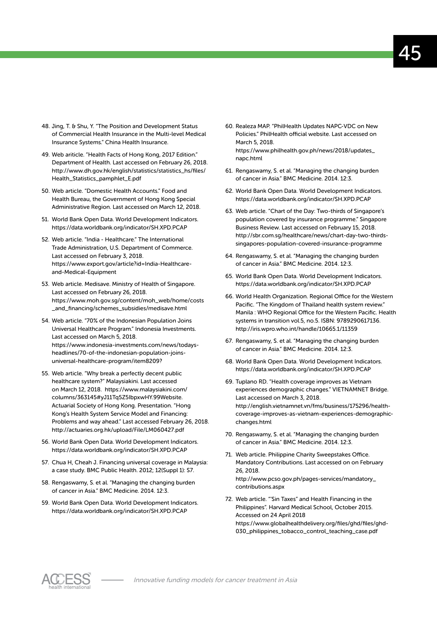- 48. Jing, T. & Shu, Y. "The Position and Development Status of Commercial Health Insurance in the Multi-level Medical Insurance Systems." China Health Insurance.
- 49. Web ariticle. "Health Facts of Hong Kong, 2017 Edition." Department of Health. Last accessed on February 26, 2018. http://www.dh.gov.hk/english/statistics/statistics\_hs/files/ Health\_Statistics\_pamphlet\_E.pdf
- 50. Web article. "Domestic Health Accounts." Food and Health Bureau, the Government of Hong Kong Special Administrative Region. Last accessed on March 12, 2018.
- 51. World Bank Open Data. World Development Indicators. https://data.worldbank.org/indicator/SH.XPD.PCAP
- 52. Web article. "India Healthcare." The International Trade Administration, U.S. Department of Commerce. Last accessed on February 3, 2018. https://www.export.gov/article?id=India-Healthcareand-Medical-Equipment
- 53. Web article. Medisave. Ministry of Health of Singapore. Last accessed on February 26, 2018. https://www.moh.gov.sg/content/moh\_web/home/costs \_and\_financing/schemes\_subsidies/medisave.html
- 54. Web article. "70% of the Indonesian Population Joins Universal Healthcare Program." Indonesia Investments. Last accessed on March 5, 2018. https://www.indonesia-investments.com/news/todaysheadlines/70-of-the-indonesian-population-joinsuniversal-healthcare-program/item8209?
- 55. Web article. "Why break a perfectly decent public healthcare system?" Malaysiakini. Last accessed on March 12, 2018. https://www.malaysiakini.com/ columns/363145#yJ11Tq5Z5IbpxwHY.99Website. Actuarial Society of Hong Kong. Presentation. "Hong Kong's Health System Service Model and Financing: Problems and way ahead." Last accessed February 26, 2018. http://actuaries.org.hk/upload/File/LM060427.pdf
- 56. World Bank Open Data. World Development Indicators. https://data.worldbank.org/indicator/SH.XPD.PCAP
- 57. Chua H, Cheah J. Financing universal coverage in Malaysia: a case study. BMC Public Health. 2012; 12(Suppl 1): S7.
- 58. Rengaswamy, S. et al. "Managing the changing burden of cancer in Asia." BMC Medicine. 2014. 12:3.
- 59. World Bank Open Data. World Development Indicators. https://data.worldbank.org/indicator/SH.XPD.PCAP
- 60. Realeza MAP. "PhilHealth Updates NAPC-VDC on New Policies." PhilHealth official website. Last accessed on March 5, 2018. https://www.philhealth.gov.ph/news/2018/updates\_ napc.html
- 61. Rengaswamy, S. et al. "Managing the changing burden of cancer in Asia." BMC Medicine. 2014. 12:3.
- 62. World Bank Open Data. World Development Indicators. https://data.worldbank.org/indicator/SH.XPD.PCAP
- 63. Web article. "Chart of the Day: Two-thirds of Singapore's population covered by insurance programme." Singapore Business Review. Last accessed on February 15, 2018. http://sbr.com.sg/healthcare/news/chart-day-two-thirdssingapores-population-covered-insurance-programme
- 64. Rengaswamy, S. et al. "Managing the changing burden of cancer in Asia." BMC Medicine. 2014. 12:3.
- 65. World Bank Open Data. World Development Indicators. https://data.worldbank.org/indicator/SH.XPD.PCAP
- 66. World Health Organization. Regional Office for the Western Pacific. "The Kingdom of Thailand health system review." Manila : WHO Regional Office for the Western Pacific. Health systems in transition vol.5, no.5. ISBN: 9789290617136. http://iris.wpro.who.int/handle/10665.1/11359
- 67. Rengaswamy, S. et al. "Managing the changing burden of cancer in Asia." BMC Medicine. 2014. 12:3.
- 68. World Bank Open Data. World Development Indicators. https://data.worldbank.org/indicator/SH.XPD.PCAP
- 69. Tuplano RD. "Health coverage improves as Vietnam experiences demographic changes." VIETNAMNET Bridge. Last accessed on March 3, 2018. http://english.vietnamnet.vn/fms/business/175296/healthcoverage-improves-as-vietnam-experiences-demographicchanges.html
- 70. Rengaswamy, S. et al. "Managing the changing burden of cancer in Asia." BMC Medicine. 2014. 12:3.
- 71. Web article. Philippine Charity Sweepstakes Office. Mandatory Contributions. Last accessed on on February 26, 2018. http://www.pcso.gov.ph/pages-services/mandatory\_ contributions.aspx
- 72. Web article. "'Sin Taxes" and Health Financing in the Philippines". Harvard Medical School, October 2015. Accessed on 24 April 2018 https://www.globalhealthdelivery.org/files/ghd/files/ghd-030\_philippines\_tobacco\_control\_teaching\_case.pdf

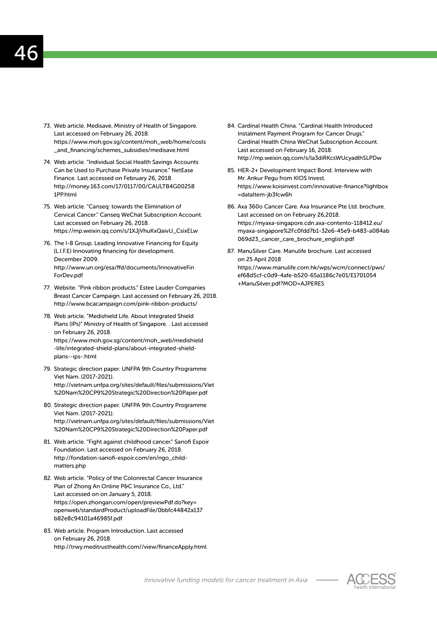- 73. Web article. Medisave. Ministry of Health of Singapore. Last accessed on February 26, 2018. https://www.moh.gov.sg/content/moh\_web/home/costs and financing/schemes subsidies/medisave.html
- 74. Web article. "Individual Social Health Savings Accounts Can be Used to Purchase Private Insurance." NetEase Finance. Last accessed on February 26, 2018. http://money.163.com/17/0117/00/CAULTB4G00258 1PP.html
- 75. Web article. "Canseq: towards the Elimination of Cervical Cancer." Canseq WeChat Subscription Account. Last accessed on February 26, 2018. https://mp.weixin.qq.com/s/1XJjVhuKxQaivU\_CsixELw
- 76. The I-8 Group. Leading Innovative Financing for Equity (L.I.F.E) Innovating financing for development. December 2009. http://www.un.org/esa/ffd/documents/InnovativeFin ForDev.pdf
- 77. Website. "Pink ribbon products." Estee Lauder Companies Breast Cancer Campaign. Last accessed on February 26, 2018. http://www.bcacampaign.com/pink-ribbon-products/
- 78. Web article. "Medishield Life. About Integrated Shield Plans (IPs)" Ministry of Health of Singapore. . Last accessed on February 26, 2018. https://www.moh.gov.sg/content/moh\_web/medishield -life/integrated-shield-plans/about-integrated-shieldplans--ips-.html
- 79. Strategic direction paper. UNFPA 9th Country Programme Viet Nam. (2017-2021). http://vietnam.unfpa.org/sites/default/files/submissions/Viet %20Nam%20CP9%20Strategic%20Direction%20Paper.pdf
- 80. Strategic direction paper. UNFPA 9th Country Programme Viet Nam. (2017-2021). http://vietnam.unfpa.org/sites/default/files/submissions/Viet %20Nam%20CP9%20Strategic%20Direction%20Paper.pdf
- 81. Web article. "Fight against childhood cancer." Sanofi Espoir Foundation. Last accessed on February 26, 2018. http://fondation-sanofi-espoir.com/en/ngo\_childmatters.php
- 82. Web article. "Policy of the Colonrectal Cancer Insurance Plan of Zhong An Online P&C Insurance Co., Ltd." Last accessed on on January 5, 2018. https://open.zhongan.com/open/previewPdf.do?key= openweb/standardProduct/uploadFile/0bbfc44842a137 b82e8c94101a46985f.pdf
- 83. Web article. Program Introduction. Last accessed on February 26, 2018. http://trwy.meditrusthealth.com//view/financeApply.html
- 84. Cardinal Health China. "Cardinal Health Introduced Instalment Payment Program for Cancer Drugs." Cardinal Health China WeChat Subscription Account. Last accessed on February 16, 2018. http://mp.weixin.qq.com/s/la3diRKcsWUcyadlhSLPDw
- 85. HER-2+ Development Impact Bond. Interview with Mr. Ankur Pegu from KIOS Invest. https://www.koisinvest.com/innovative-finance?lightbox =dataItem-jb3fcw6h
- 86. Axa 360o Cancer Care. Axa Insurance Pte Ltd. brochure. Last accessed on on February 26,2018. https://myaxa-singapore.cdn.axa-contento-118412.eu/ myaxa-singapore%2Fc0fdd7b1-32e6-45e9-b483-a084ab 069d23\_cancer\_care\_brochure\_english.pdf
- 87. ManuSilver Care. Manulife brochure. Last accessed on 25 April 2018 https://www.manulife.com.hk/wps/wcm/connect/pws/ ef68d5cf-c0d9-4afe-b520-65a1186c7e01/E1701054 +ManuSilver.pdf?MOD=AJPERES

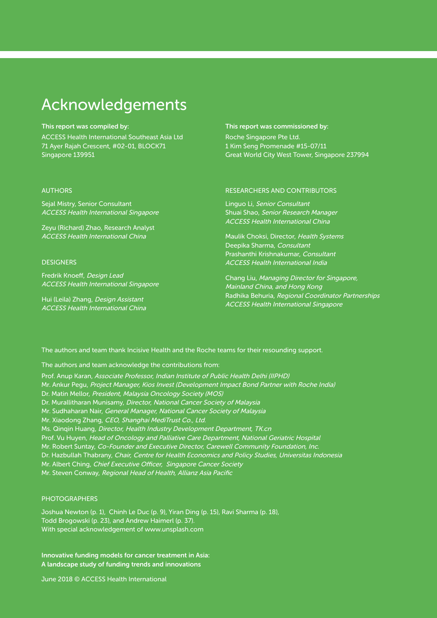### Acknowledgements

This report was compiled by:

ACCESS Health International Southeast Asia Ltd 71 Ayer Rajah Crescent, #02-01, BLOCK71 Singapore 139951

#### This report was commissioned by:

Roche Singapore Pte Ltd. 1 Kim Seng Promenade #15-07/11 Great World City West Tower, Singapore 237994

#### AUTHORS

Sejal Mistry, Senior Consultant ACCESS Health International Singapore

Zeyu (Richard) Zhao, Research Analyst ACCESS Health International China

#### **DESIGNERS**

Fredrik Knoeff, Design Lead ACCESS Health International Singapore

Hui (Leila) Zhang, Design Assistant ACCESS Health International China

#### RESEARCHERS AND CONTRIBUTORS

Linguo Li, Senior Consultant Shuai Shao, Senior Research Manager ACCESS Health International China

Maulik Choksi, Director, Health Systems Deepika Sharma, Consultant Prashanthi Krishnakumar, Consultant ACCESS Health International India

Chang Liu, Managing Director for Singapore, Mainland China, and Hong Kong Radhika Behuria, Regional Coordinator Partnerships ACCESS Health International Singapore

The authors and team thank Incisive Health and the Roche teams for their resounding support.

The authors and team acknowledge the contributions from:

Prof. Anup Karan, Associate Professor, Indian Institute of Public Health Delhi (IIPHD) Mr. Ankur Pegu, Project Manager, Kios Invest (Development Impact Bond Partner with Roche India) Dr. Matin Mellor, President, Malaysia Oncology Society (MOS) Dr. Murallitharan Munisamy, Director, National Cancer Society of Malaysia Mr. Sudhaharan Nair, General Manager, National Cancer Society of Malaysia Mr. Xiaodong Zhang, CEO, Shanghai MediTrust Co., Ltd. Ms. Qinqin Huang, Director, Health Industry Development Department, TK.cn Prof. Vu Huyen, Head of Oncology and Palliative Care Department, National Geriatric Hospital Mr. Robert Suntay, Co-Founder and Executive Director, Carewell Community Foundation, Inc. Dr. Hazbullah Thabrany, Chair, Centre for Health Economics and Policy Studies, Universitas Indonesia Mr. Albert Ching, Chief Executive Officer, Singapore Cancer Society Mr. Steven Conway, Regional Head of Health, Allianz Asia Pacific

#### **PHOTOGRAPHERS**

Joshua Newton (p. 1), Chinh Le Duc (p. 9), Yiran Ding (p. 15), Ravi Sharma (p. 18), Todd Brogowski (p. 23), and Andrew Haimerl (p. 37). With special acknowledgement of www.unsplash.com

Innovative funding models for cancer treatment in Asia: A landscape study of funding trends and innovations

June 2018 © ACCESS Health International